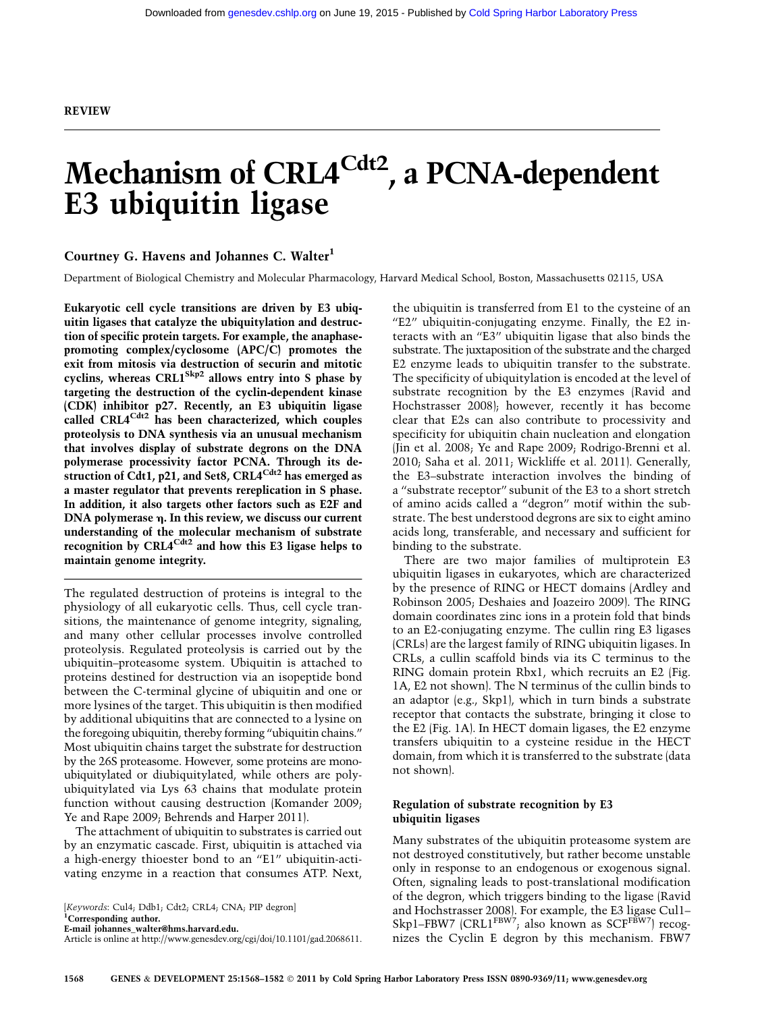# Mechanism of CRL4<sup>Cdt2</sup>, a PCNA-dependent E3 ubiquitin ligase

# Courtney G. Havens and Johannes C. Walter<sup>1</sup>

Department of Biological Chemistry and Molecular Pharmacology, Harvard Medical School, Boston, Massachusetts 02115, USA

Eukaryotic cell cycle transitions are driven by E3 ubiquitin ligases that catalyze the ubiquitylation and destruction of specific protein targets. For example, the anaphasepromoting complex/cyclosome (APC/C) promotes the exit from mitosis via destruction of securin and mitotic cyclins, whereas CRL1<sup>Skp2</sup> allows entry into S phase by targeting the destruction of the cyclin-dependent kinase (CDK) inhibitor p27. Recently, an E3 ubiquitin ligase called CRL4<sup>Cdt2</sup> has been characterized, which couples proteolysis to DNA synthesis via an unusual mechanism that involves display of substrate degrons on the DNA polymerase processivity factor PCNA. Through its destruction of Cdt1, p21, and Set8, CRL4<sup>Cdt2</sup> has emerged as a master regulator that prevents rereplication in S phase. In addition, it also targets other factors such as E2F and  $DNA$  polymerase  $\eta$ . In this review, we discuss our current understanding of the molecular mechanism of substrate recognition by CRL4 $^{Cdt2}$  and how this E3 ligase helps to maintain genome integrity.

The regulated destruction of proteins is integral to the physiology of all eukaryotic cells. Thus, cell cycle transitions, the maintenance of genome integrity, signaling, and many other cellular processes involve controlled proteolysis. Regulated proteolysis is carried out by the ubiquitin–proteasome system. Ubiquitin is attached to proteins destined for destruction via an isopeptide bond between the C-terminal glycine of ubiquitin and one or more lysines of the target. This ubiquitin is then modified by additional ubiquitins that are connected to a lysine on the foregoing ubiquitin, thereby forming ''ubiquitin chains.'' Most ubiquitin chains target the substrate for destruction by the 26S proteasome. However, some proteins are monoubiquitylated or diubiquitylated, while others are polyubiquitylated via Lys 63 chains that modulate protein function without causing destruction (Komander 2009; Ye and Rape 2009; Behrends and Harper 2011).

The attachment of ubiquitin to substrates is carried out by an enzymatic cascade. First, ubiquitin is attached via a high-energy thioester bond to an ''E1'' ubiquitin-activating enzyme in a reaction that consumes ATP. Next,

[Keywords: Cul4; Ddb1; Cdt2; CRL4; CNA; PIP degron]

<sup>1</sup>Corresponding author.

E-mail [johannes\\_walter@hms.harvard.edu.](mailto:johannes_walter@hms.harvard.edu) Article is online at http://www.genesdev.org/cgi/doi/10.1101/gad.2068611. the ubiquitin is transferred from E1 to the cysteine of an ''E2'' ubiquitin-conjugating enzyme. Finally, the E2 interacts with an ''E3'' ubiquitin ligase that also binds the substrate. The juxtaposition of the substrate and the charged E2 enzyme leads to ubiquitin transfer to the substrate. The specificity of ubiquitylation is encoded at the level of substrate recognition by the E3 enzymes (Ravid and Hochstrasser 2008); however, recently it has become clear that E2s can also contribute to processivity and specificity for ubiquitin chain nucleation and elongation (Jin et al. 2008; Ye and Rape 2009; Rodrigo-Brenni et al. 2010; Saha et al. 2011; Wickliffe et al. 2011). Generally, the E3–substrate interaction involves the binding of a ''substrate receptor'' subunit of the E3 to a short stretch of amino acids called a ''degron'' motif within the substrate. The best understood degrons are six to eight amino acids long, transferable, and necessary and sufficient for binding to the substrate.

There are two major families of multiprotein E3 ubiquitin ligases in eukaryotes, which are characterized by the presence of RING or HECT domains (Ardley and Robinson 2005; Deshaies and Joazeiro 2009). The RING domain coordinates zinc ions in a protein fold that binds to an E2-conjugating enzyme. The cullin ring E3 ligases (CRLs) are the largest family of RING ubiquitin ligases. In CRLs, a cullin scaffold binds via its C terminus to the RING domain protein Rbx1, which recruits an E2 (Fig. 1A, E2 not shown). The N terminus of the cullin binds to an adaptor (e.g., Skp1), which in turn binds a substrate receptor that contacts the substrate, bringing it close to the E2 (Fig. 1A). In HECT domain ligases, the E2 enzyme transfers ubiquitin to a cysteine residue in the HECT domain, from which it is transferred to the substrate (data not shown).

# Regulation of substrate recognition by E3 ubiquitin ligases

Many substrates of the ubiquitin proteasome system are not destroyed constitutively, but rather become unstable only in response to an endogenous or exogenous signal. Often, signaling leads to post-translational modification of the degron, which triggers binding to the ligase (Ravid and Hochstrasser 2008). For example, the E3 ligase Cul1– Skp1–FBW7  $(CRL1^{FBW7})$ ; also known as  $SCF^{FBW7}$  recognizes the Cyclin E degron by this mechanism. FBW7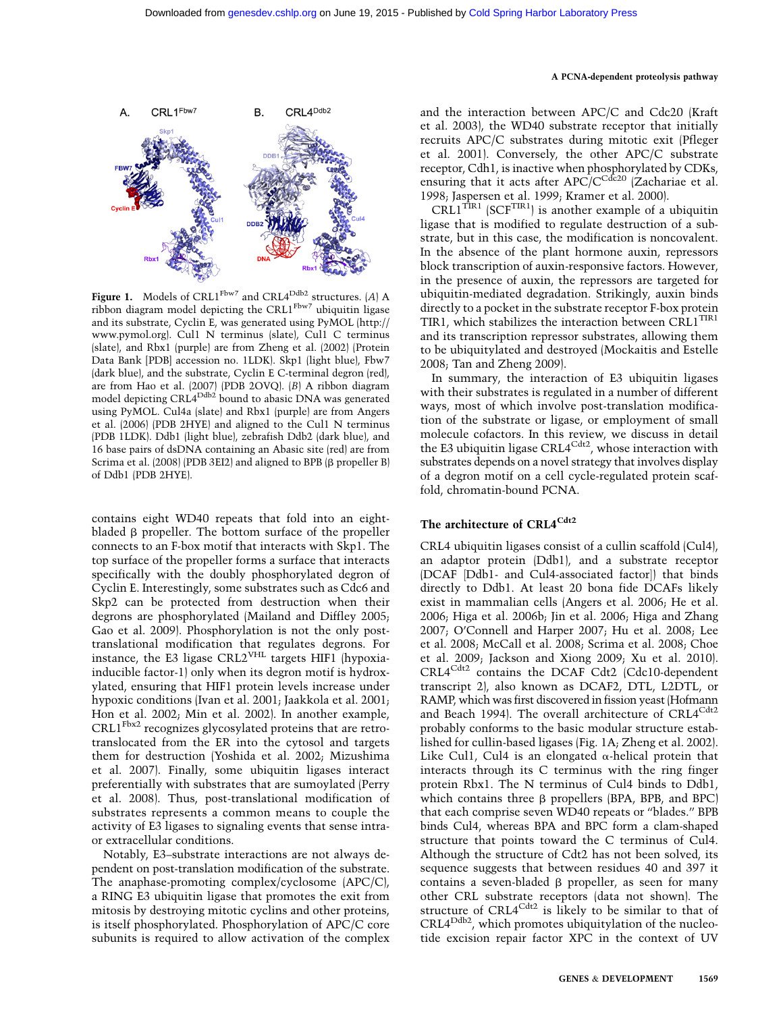

Figure 1. Models of CRL1<sup>Fbw7</sup> and CRL4<sup>Ddb2</sup> structures. (A) A ribbon diagram model depicting the CRL1<sup>Fbw7</sup> ubiquitin ligase and its substrate, Cyclin E, was generated using PyMOL [\(http://](http://www.pymol.org) [www.pymol.org\)](http://www.pymol.org). Cul1 N terminus (slate), Cul1 C terminus (slate), and Rbx1 (purple) are from Zheng et al. (2002) (Protein Data Bank [PDB] accession no. 1LDK). Skp1 (light blue), Fbw7 (dark blue), and the substrate, Cyclin E C-terminal degron (red), are from Hao et al. (2007) (PDB 2OVQ). (B) A ribbon diagram model depicting CRL4<sup>Ddb2</sup> bound to abasic DNA was generated using PyMOL. Cul4a (slate) and Rbx1 (purple) are from Angers et al. (2006) (PDB 2HYE) and aligned to the Cul1 N terminus (PDB 1LDK). Ddb1 (light blue), zebrafish Ddb2 (dark blue), and 16 base pairs of dsDNA containing an Abasic site (red) are from Scrima et al. (2008) (PDB 3EI2) and aligned to BPB ( $\beta$  propeller B) of Ddb1 (PDB 2HYE).

contains eight WD40 repeats that fold into an eightbladed  $\beta$  propeller. The bottom surface of the propeller connects to an F-box motif that interacts with Skp1. The top surface of the propeller forms a surface that interacts specifically with the doubly phosphorylated degron of Cyclin E. Interestingly, some substrates such as Cdc6 and Skp2 can be protected from destruction when their degrons are phosphorylated (Mailand and Diffley 2005; Gao et al. 2009). Phosphorylation is not the only posttranslational modification that regulates degrons. For instance, the E3 ligase CRL2<sup>VHL</sup> targets HIF1 (hypoxiainducible factor-1) only when its degron motif is hydroxylated, ensuring that HIF1 protein levels increase under hypoxic conditions (Ivan et al. 2001; Jaakkola et al. 2001; Hon et al. 2002; Min et al. 2002). In another example,  $CRL1<sup>Fbx2</sup>$  recognizes glycosylated proteins that are retrotranslocated from the ER into the cytosol and targets them for destruction (Yoshida et al. 2002; Mizushima et al. 2007). Finally, some ubiquitin ligases interact preferentially with substrates that are sumoylated (Perry et al. 2008). Thus, post-translational modification of substrates represents a common means to couple the activity of E3 ligases to signaling events that sense intraor extracellular conditions.

Notably, E3–substrate interactions are not always dependent on post-translation modification of the substrate. The anaphase-promoting complex/cyclosome (APC/C), a RING E3 ubiquitin ligase that promotes the exit from mitosis by destroying mitotic cyclins and other proteins, is itself phosphorylated. Phosphorylation of APC/C core subunits is required to allow activation of the complex and the interaction between APC/C and Cdc20 (Kraft et al. 2003), the WD40 substrate receptor that initially recruits APC/C substrates during mitotic exit (Pfleger et al. 2001). Conversely, the other APC/C substrate receptor, Cdh1, is inactive when phosphorylated by CDKs, ensuring that it acts after  $APC/C^{Cdc20}$  (Zachariae et al. 1998; Jaspersen et al. 1999; Kramer et al. 2000).

CRL1<sup>TIR1</sup> (SCF<sup>TIR1</sup>) is another example of a ubiquitin ligase that is modified to regulate destruction of a substrate, but in this case, the modification is noncovalent. In the absence of the plant hormone auxin, repressors block transcription of auxin-responsive factors. However, in the presence of auxin, the repressors are targeted for ubiquitin-mediated degradation. Strikingly, auxin binds directly to a pocket in the substrate receptor F-box protein TIR1, which stabilizes the interaction between CRL1<sup>TIR1</sup> and its transcription repressor substrates, allowing them to be ubiquitylated and destroyed (Mockaitis and Estelle 2008; Tan and Zheng 2009).

In summary, the interaction of E3 ubiquitin ligases with their substrates is regulated in a number of different ways, most of which involve post-translation modification of the substrate or ligase, or employment of small molecule cofactors. In this review, we discuss in detail the E3 ubiquitin ligase CRL4<sup>Cdt2</sup>, whose interaction with substrates depends on a novel strategy that involves display of a degron motif on a cell cycle-regulated protein scaffold, chromatin-bound PCNA.

# The architecture of CRL4<sup>Cdt2</sup>

CRL4 ubiquitin ligases consist of a cullin scaffold (Cul4), an adaptor protein (Ddb1), and a substrate receptor (DCAF [Ddb1- and Cul4-associated factor]) that binds directly to Ddb1. At least 20 bona fide DCAFs likely exist in mammalian cells (Angers et al. 2006; He et al. 2006; Higa et al. 2006b; Jin et al. 2006; Higa and Zhang 2007; O'Connell and Harper 2007; Hu et al. 2008; Lee et al. 2008; McCall et al. 2008; Scrima et al. 2008; Choe et al. 2009; Jackson and Xiong 2009; Xu et al. 2010). CRL4Cdt2 contains the DCAF Cdt2 (Cdc10-dependent transcript 2), also known as DCAF2, DTL, L2DTL, or RAMP, which was first discovered in fission yeast (Hofmann and Beach 1994). The overall architecture of CRL4<sup>Cdt2</sup> probably conforms to the basic modular structure established for cullin-based ligases (Fig. 1A; Zheng et al. 2002). Like Cul1, Cul4 is an elongated  $\alpha$ -helical protein that interacts through its C terminus with the ring finger protein Rbx1. The N terminus of Cul4 binds to Ddb1, which contains three  $\beta$  propellers (BPA, BPB, and BPC) that each comprise seven WD40 repeats or ''blades.'' BPB binds Cul4, whereas BPA and BPC form a clam-shaped structure that points toward the C terminus of Cul4. Although the structure of Cdt2 has not been solved, its sequence suggests that between residues 40 and 397 it contains a seven-bladed  $\beta$  propeller, as seen for many other CRL substrate receptors (data not shown). The structure of  $CRL4^{Cdt2}$  is likely to be similar to that of CRL4<sup>Ddb2</sup>, which promotes ubiquitylation of the nucleotide excision repair factor XPC in the context of UV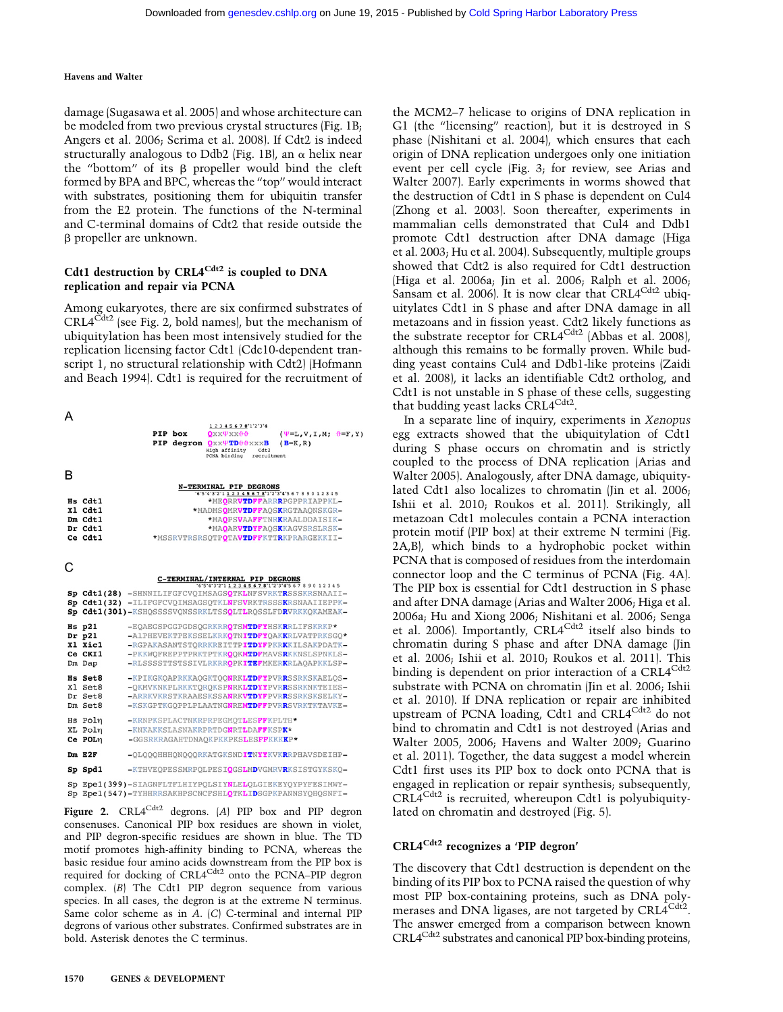damage (Sugasawa et al. 2005) and whose architecture can be modeled from two previous crystal structures (Fig. 1B; Angers et al. 2006; Scrima et al. 2008). If Cdt2 is indeed structurally analogous to Ddb2 (Fig. 1B), an  $\alpha$  helix near the "bottom" of its  $\beta$  propeller would bind the cleft formed by BPA and BPC, whereas the ''top'' would interact with substrates, positioning them for ubiquitin transfer from the E2 protein. The functions of the N-terminal and C-terminal domains of Cdt2 that reside outside the b propeller are unknown.

# Cdt1 destruction by CRL4<sup>Cdt2</sup> is coupled to DNA replication and repair via PCNA

Among eukaryotes, there are six confirmed substrates of  $CRL4^{Cdt2}$  (see Fig. 2, bold names), but the mechanism of ubiquitylation has been most intensively studied for the replication licensing factor Cdt1 (Cdc10-dependent transcript 1, no structural relationship with Cdt2) (Hofmann and Beach 1994). Cdt1 is required for the recruitment of

|             |            | 12345678'1'2'3'4                                                                                   |                                      |
|-------------|------------|----------------------------------------------------------------------------------------------------|--------------------------------------|
|             | PIP box    | $\theta$ <i>xx yxx</i> $\theta$                                                                    | $(\Psi = L, V, I, M; \theta = F, Y)$ |
|             | PIP degron | $Q$ xx $\Psi$ TD $\vartheta$ $\vartheta$ xxxB<br>High affinity<br>Cdt2<br>PCNA binding recruitment | $(B=K, R)$                           |
|             |            |                                                                                                    |                                      |
|             |            | <b>N-TERMINAL PIP DEGRONS</b>                                                                      |                                      |
|             |            | $-6.5.4.3.2.1$ 1 2 3 4 5 6 7 8'1'2'3'4'5 6 7 8 9 0 1 2 3 4 5                                       |                                      |
| Hs Cdt1     |            |                                                                                                    | *MEORRVTDFFARRRPGPPRIAPPKL-          |
| $x1$ $cdt1$ |            | *MADMSOMRVTDFFAOSKRGTAAONSKGR-                                                                     |                                      |
| Dm Cdt1     |            |                                                                                                    | *MAOPSVAAFFTNRKRAALDDAISIK-          |
| Dr Cdt1     |            |                                                                                                    | *MAOARVTDYFAOSKKAGVSRSLRSK-          |
| Ce Cdt1     |            | *MSSRVTRSRSOTPOTAVTDFFKTTRKPRARGEKKII-                                                             |                                      |
|             |            |                                                                                                    |                                      |

|    |                                                        | C-TERMINAL/INTERNAL PIP DEGRONS<br>$-6.5.4.3.2.112345678'1.2.3.45678$                                                                                                                                                                      |
|----|--------------------------------------------------------|--------------------------------------------------------------------------------------------------------------------------------------------------------------------------------------------------------------------------------------------|
| Sp |                                                        | Sp Cdt1(28) -SHNNILIFGFCVQIMSAGSQTKLNFSVRKTRSSSKRSNAAII-<br>Cdt1(32) -ILIFGFCVQIMSAGSQTKLNFSVRKTRSSSKRSNAAIIEPPK-<br>Sp Cdt1(301)-KSHOSSSSVONSSRKLTSSOLTLROSSLFDRVRKKOKAMEAK-                                                              |
|    | $Hs$ p21<br>$Dr$ $p21$<br>X1 Xic1<br>Ce CKI1<br>Dm Dap | -EQAEGSPGGPGDSQGRKRROTSMTDFYHSKRRLIFSKRKP*<br>-AlPHEVEKTPEKSSELKRKOTNITDFYOAKKRLVATPRKSGO*<br>-RGPAKASANTSTORRKREITTPITDYFPKRKKILSAKPDATK-<br>-PKKWOFREPPTPRKTPTKROOKMTDFMAVSRKKNSLSPNKLS-<br>-RLSSSSTTSTSSIVLRKRROPKITEFMKERKRLAOAPKKLSP- |
|    | <b>Hs Set8</b><br>Xl Set8<br>Dr Set8<br>Dm Set8        | -KPIKGKOAPRKKAOGKTOONRKLTDFYPVRRSSRKSKAELOS-<br>-OKMVKNKPLRKKTOROKSPNRKLTDYYPVRRSSRKNKTEIES-<br>-ARRKVKRSTKRAAESKSSANRKVTDYFPVRRSSRKSKSELKY-<br>-KSKGPTKGOPPLPLAATNGNREMTDFFPVRRSVRKTKTAVKE-                                               |
|    | Hs Poln<br>XL Poln<br>Ce POL <sub>n</sub>              | -KRNPKSPLACTNKRPRPEGMOTLESFFKPLTH*<br>-KNKAKKSLASNAKRPRTDGNRTLDAFFKSPK*<br>-GGSRKRAGAHTDNAOKPKKPKSLESFFKKKKP*                                                                                                                              |
|    | $Dm$ E2F                                               | -OLOOOHHHONOOORKATGKSNDITNYYKVKRRPHAVSDEIHP-                                                                                                                                                                                               |
|    | Sp Spd1                                                | -KTHVEQPESSMRPQLPESIQGSLMDVGMRVRKSISTGYKSKQ-                                                                                                                                                                                               |
| Sp |                                                        | Sp Epe1(399)-SIAGNFLTFLHIYPOLSIYNLELOLGIEKEYOYPYFESIMWY-<br>Epe1(547)-TYHHRRSAKHPSCNCFSHLOTKLIDSGPKPANNSYOHOSNFI-                                                                                                                          |

Figure 2.  $CRL4^{Cdt2}$  degrons. (A) PIP box and PIP degron consenuses. Canonical PIP box residues are shown in violet, and PIP degron-specific residues are shown in blue. The TD motif promotes high-affinity binding to PCNA, whereas the basic residue four amino acids downstream from the PIP box is required for docking of CRL4<sup>Cdt2</sup> onto the PCNA–PIP degron complex. (B) The Cdt1 PIP degron sequence from various species. In all cases, the degron is at the extreme N terminus. Same color scheme as in A. (C) C-terminal and internal PIP degrons of various other substrates. Confirmed substrates are in bold. Asterisk denotes the C terminus.

the MCM2–7 helicase to origins of DNA replication in G1 (the "licensing" reaction), but it is destroyed in S phase (Nishitani et al. 2004), which ensures that each origin of DNA replication undergoes only one initiation event per cell cycle (Fig. 3; for review, see Arias and Walter 2007). Early experiments in worms showed that the destruction of Cdt1 in S phase is dependent on Cul4 (Zhong et al. 2003). Soon thereafter, experiments in mammalian cells demonstrated that Cul4 and Ddb1 promote Cdt1 destruction after DNA damage (Higa et al. 2003; Hu et al. 2004). Subsequently, multiple groups showed that Cdt2 is also required for Cdt1 destruction (Higa et al. 2006a; Jin et al. 2006; Ralph et al. 2006; Sansam et al. 2006). It is now clear that CRL4<sup>Cdt2</sup> ubiquitylates Cdt1 in S phase and after DNA damage in all metazoans and in fission yeast. Cdt2 likely functions as the substrate receptor for CRL4<sup>Cdt2</sup> (Abbas et al. 2008), although this remains to be formally proven. While budding yeast contains Cul4 and Ddb1-like proteins (Zaidi et al. 2008), it lacks an identifiable Cdt2 ortholog, and Cdt1 is not unstable in S phase of these cells, suggesting that budding yeast lacks CRL4<sup>Cdt2</sup>.

In a separate line of inquiry, experiments in Xenopus egg extracts showed that the ubiquitylation of Cdt1 during S phase occurs on chromatin and is strictly coupled to the process of DNA replication (Arias and Walter 2005). Analogously, after DNA damage, ubiquitylated Cdt1 also localizes to chromatin (Jin et al. 2006; Ishii et al. 2010; Roukos et al. 2011). Strikingly, all metazoan Cdt1 molecules contain a PCNA interaction protein motif (PIP box) at their extreme N termini (Fig. 2A,B), which binds to a hydrophobic pocket within PCNA that is composed of residues from the interdomain connector loop and the C terminus of PCNA (Fig. 4A). The PIP box is essential for Cdt1 destruction in S phase and after DNA damage (Arias and Walter 2006; Higa et al. 2006a; Hu and Xiong 2006; Nishitani et al. 2006; Senga et al. 2006). Importantly, CRL4<sup>Cdt2</sup> itself also binds to chromatin during S phase and after DNA damage (Jin et al. 2006; Ishii et al. 2010; Roukos et al. 2011). This binding is dependent on prior interaction of a CRL4<sup>Cdt2</sup> substrate with PCNA on chromatin (Jin et al. 2006; Ishii et al. 2010). If DNA replication or repair are inhibited upstream of PCNA loading, Cdt1 and CRL4<sup>Cdt2</sup> do not bind to chromatin and Cdt1 is not destroyed (Arias and Walter 2005, 2006; Havens and Walter 2009; Guarino et al. 2011). Together, the data suggest a model wherein Cdt1 first uses its PIP box to dock onto PCNA that is engaged in replication or repair synthesis; subsequently,  $CRL4^{Cdt2}$  is recruited, whereupon Cdt1 is polyubiquitylated on chromatin and destroyed (Fig. 5).

# CRL4Cdt2 recognizes a 'PIP degron'

The discovery that Cdt1 destruction is dependent on the binding of its PIP box to PCNA raised the question of why most PIP box-containing proteins, such as DNA polymerases and DNA ligases, are not targeted by CRL4<sup>Cdt2</sup>. The answer emerged from a comparison between known CRL4<sup>Cdt2</sup> substrates and canonical PIP box-binding proteins,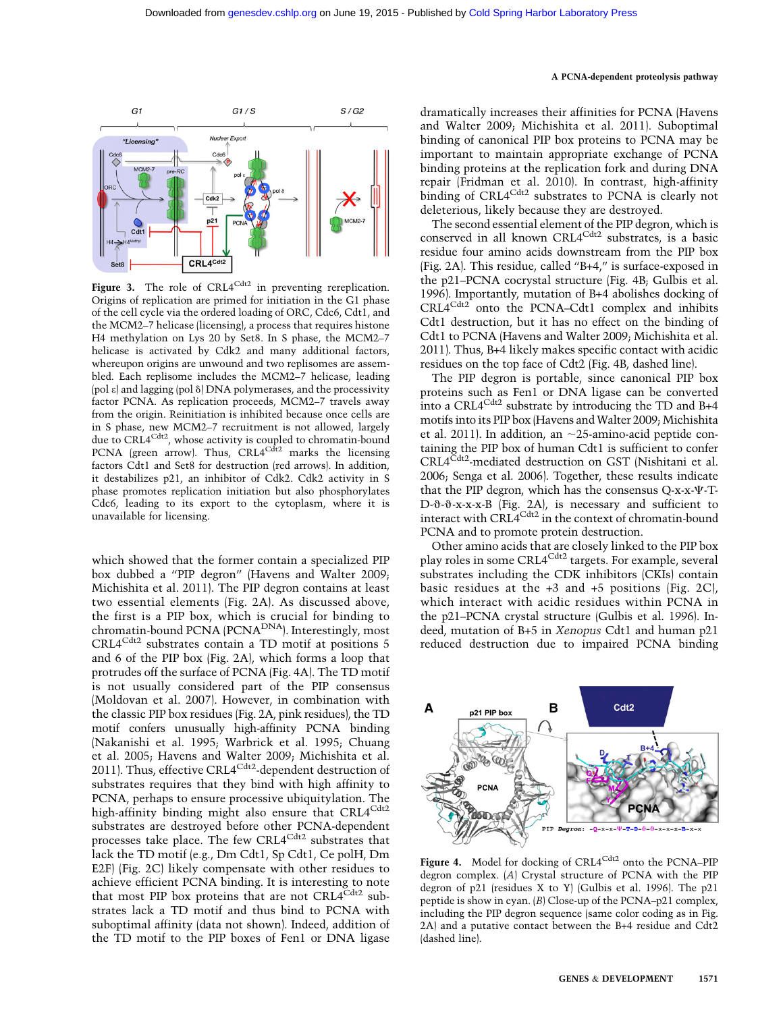

Figure 3. The role of CRL4<sup>Cdt2</sup> in preventing rereplication. Origins of replication are primed for initiation in the G1 phase of the cell cycle via the ordered loading of ORC, Cdc6, Cdt1, and the MCM2–7 helicase (licensing), a process that requires histone H4 methylation on Lys 20 by Set8. In S phase, the MCM2–7 helicase is activated by Cdk2 and many additional factors, whereupon origins are unwound and two replisomes are assembled. Each replisome includes the MCM2–7 helicase, leading (pol  $\varepsilon$ ) and lagging (pol  $\delta$ ) DNA polymerases, and the processivity factor PCNA. As replication proceeds, MCM2–7 travels away from the origin. Reinitiation is inhibited because once cells are in S phase, new MCM2–7 recruitment is not allowed, largely due to CRL4<sup>Cdt2</sup>, whose activity is coupled to chromatin-bound PCNA (green arrow). Thus,  $CRL4<sup>Cd</sup>$  marks the licensing factors Cdt1 and Set8 for destruction (red arrows). In addition, it destabilizes p21, an inhibitor of Cdk2. Cdk2 activity in S phase promotes replication initiation but also phosphorylates Cdc6, leading to its export to the cytoplasm, where it is unavailable for licensing.

which showed that the former contain a specialized PIP box dubbed a ''PIP degron'' (Havens and Walter 2009; Michishita et al. 2011). The PIP degron contains at least two essential elements (Fig. 2A). As discussed above, the first is a PIP box, which is crucial for binding to chromatin-bound PCNA (PCNA<sup>DNA</sup>). Interestingly, most CRL4Cdt2 substrates contain a TD motif at positions 5 and 6 of the PIP box (Fig. 2A), which forms a loop that protrudes off the surface of PCNA (Fig. 4A). The TD motif is not usually considered part of the PIP consensus (Moldovan et al. 2007). However, in combination with the classic PIP box residues (Fig. 2A, pink residues), the TD motif confers unusually high-affinity PCNA binding (Nakanishi et al. 1995; Warbrick et al. 1995; Chuang et al. 2005; Havens and Walter 2009; Michishita et al. 2011). Thus, effective CRL $4^{Cdt2}$ -dependent destruction of substrates requires that they bind with high affinity to PCNA, perhaps to ensure processive ubiquitylation. The high-affinity binding might also ensure that  $CRL4^{Cdt2}$ substrates are destroyed before other PCNA-dependent processes take place. The few CRL4<sup>Cdt2</sup> substrates that lack the TD motif (e.g., Dm Cdt1, Sp Cdt1, Ce polH, Dm E2F) (Fig. 2C) likely compensate with other residues to achieve efficient PCNA binding. It is interesting to note that most PIP box proteins that are not  $CRL4^{Cdt2}$  substrates lack a TD motif and thus bind to PCNA with suboptimal affinity (data not shown). Indeed, addition of the TD motif to the PIP boxes of Fen1 or DNA ligase

dramatically increases their affinities for PCNA (Havens and Walter 2009; Michishita et al. 2011). Suboptimal binding of canonical PIP box proteins to PCNA may be important to maintain appropriate exchange of PCNA binding proteins at the replication fork and during DNA repair (Fridman et al. 2010). In contrast, high-affinity binding of  $CRL4^{Cdt2}$  substrates to PCNA is clearly not deleterious, likely because they are destroyed.

The second essential element of the PIP degron, which is conserved in all known CRL4<sup>Cdt2</sup> substrates, is a basic residue four amino acids downstream from the PIP box (Fig. 2A). This residue, called ''B+4,'' is surface-exposed in the p21–PCNA cocrystal structure (Fig. 4B; Gulbis et al. 1996). Importantly, mutation of B+4 abolishes docking of CRL4Cdt2 onto the PCNA–Cdt1 complex and inhibits Cdt1 destruction, but it has no effect on the binding of Cdt1 to PCNA (Havens and Walter 2009; Michishita et al. 2011). Thus, B+4 likely makes specific contact with acidic residues on the top face of Cdt2 (Fig. 4B, dashed line).

The PIP degron is portable, since canonical PIP box proteins such as Fen1 or DNA ligase can be converted into a CRL $4^{Cdt2}$  substrate by introducing the TD and B+4 motifs into its PIP box (Havens and Walter 2009; Michishita et al. 2011). In addition, an  $\sim$ 25-amino-acid peptide containing the PIP box of human Cdt1 is sufficient to confer CRL4<sup>Cdt2</sup>-mediated destruction on GST (Nishitani et al. 2006; Senga et al. 2006). Together, these results indicate that the PIP degron, which has the consensus  $Q$ -x-x- $\Psi$ -T-D-\-\-\-\-\-\-x-x-x-B (Fig. 2A), is necessary and sufficient to interact with CRL4<sup>Cdt2</sup> in the context of chromatin-bound PCNA and to promote protein destruction.

Other amino acids that are closely linked to the PIP box play roles in some CRL4<sup>Cdt2</sup> targets. For example, several substrates including the CDK inhibitors (CKIs) contain basic residues at the +3 and +5 positions (Fig. 2C), which interact with acidic residues within PCNA in the p21–PCNA crystal structure (Gulbis et al. 1996). Indeed, mutation of B+5 in Xenopus Cdt1 and human p21 reduced destruction due to impaired PCNA binding



Figure 4. Model for docking of CRL4<sup>Cdt2</sup> onto the PCNA–PIP degron complex. (A) Crystal structure of PCNA with the PIP degron of p21 (residues X to Y) (Gulbis et al. 1996). The p21 peptide is show in cyan. (B) Close-up of the PCNA–p21 complex, including the PIP degron sequence (same color coding as in Fig. 2A) and a putative contact between the B+4 residue and Cdt2 (dashed line).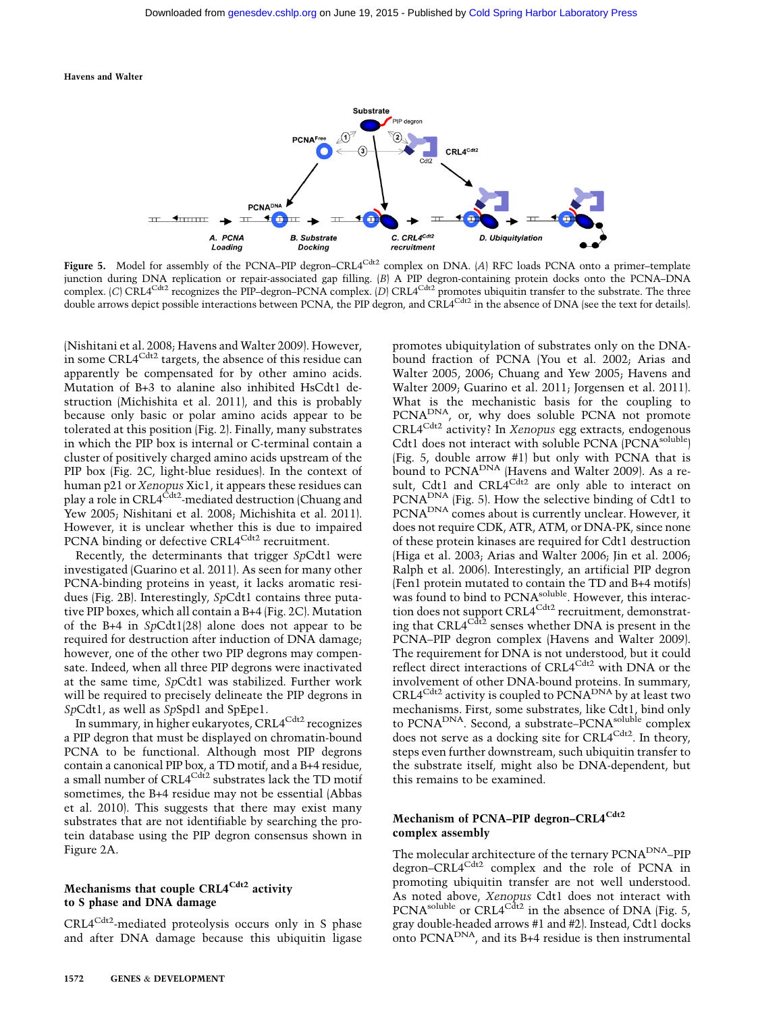

Figure 5. Model for assembly of the PCNA–PIP degron–CRL4<sup>Cdt2</sup> complex on DNA. (A) RFC loads PCNA onto a primer–template junction during DNA replication or repair-associated gap filling. (B) A PIP degron-containing protein docks onto the PCNA–DNA complex. (C) CRL4<sup>Cdt2</sup> recognizes the PIP–degron–PCNA complex. (D) CRL4<sup>Cdt2</sup> promotes ubiquitin transfer to the substrate. The three double arrows depict possible interactions between PCNA, the PIP degron, and CRL4<sup>Cdt2</sup> in the absence of DNA (see the text for details).

(Nishitani et al. 2008; Havens and Walter 2009). However, in some CRL4<sup>Cdt2</sup> targets, the absence of this residue can apparently be compensated for by other amino acids. Mutation of B+3 to alanine also inhibited HsCdt1 destruction (Michishita et al. 2011), and this is probably because only basic or polar amino acids appear to be tolerated at this position (Fig. 2). Finally, many substrates in which the PIP box is internal or C-terminal contain a cluster of positively charged amino acids upstream of the PIP box (Fig. 2C, light-blue residues). In the context of human p21 or Xenopus Xic1, it appears these residues can play a role in CRL4<sup>Cdt2</sup>-mediated destruction (Chuang and Yew 2005; Nishitani et al. 2008; Michishita et al. 2011). However, it is unclear whether this is due to impaired PCNA binding or defective CRL4<sup>Cdt2</sup> recruitment.

Recently, the determinants that trigger SpCdt1 were investigated (Guarino et al. 2011). As seen for many other PCNA-binding proteins in yeast, it lacks aromatic residues (Fig. 2B). Interestingly, SpCdt1 contains three putative PIP boxes, which all contain a B+4 (Fig. 2C). Mutation of the B+4 in SpCdt1(28) alone does not appear to be required for destruction after induction of DNA damage; however, one of the other two PIP degrons may compensate. Indeed, when all three PIP degrons were inactivated at the same time, SpCdt1 was stabilized. Further work will be required to precisely delineate the PIP degrons in SpCdt1, as well as SpSpd1 and SpEpe1.

In summary, in higher eukaryotes, CRL4<sup>Cdt2</sup> recognizes a PIP degron that must be displayed on chromatin-bound PCNA to be functional. Although most PIP degrons contain a canonical PIP box, a TD motif, and a B+4 residue, a small number of CRL4<sup>Cdt2</sup> substrates lack the TD motif sometimes, the B+4 residue may not be essential (Abbas et al. 2010). This suggests that there may exist many substrates that are not identifiable by searching the protein database using the PIP degron consensus shown in Figure 2A.

# Mechanisms that couple CRL4<sup>Cdt2</sup> activity to S phase and DNA damage

CRL4Cdt2-mediated proteolysis occurs only in S phase and after DNA damage because this ubiquitin ligase promotes ubiquitylation of substrates only on the DNAbound fraction of PCNA (You et al. 2002; Arias and Walter 2005, 2006; Chuang and Yew 2005; Havens and Walter 2009; Guarino et al. 2011; Jorgensen et al. 2011). What is the mechanistic basis for the coupling to PCNA<sup>DNA</sup>, or, why does soluble PCNA not promote CRL4<sup>Cdt2</sup> activity? In Xenopus egg extracts, endogenous Cdt1 does not interact with soluble PCNA (PCNA<sup>soluble</sup>) (Fig. 5, double arrow #1) but only with PCNA that is bound to PCNA<sup>DNA</sup> (Havens and Walter 2009). As a result, Cdt1 and CRL4 $^{Cdt2}$  are only able to interact on PCNA<sup>DNA</sup> (Fig. 5). How the selective binding of Cdt1 to PCNADNA comes about is currently unclear. However, it does not require CDK, ATR, ATM, or DNA-PK, since none of these protein kinases are required for Cdt1 destruction (Higa et al. 2003; Arias and Walter 2006; Jin et al. 2006; Ralph et al. 2006). Interestingly, an artificial PIP degron (Fen1 protein mutated to contain the TD and B+4 motifs) was found to bind to PCNA<sup>soluble</sup>. However, this interaction does not support CRL4<sup>Cdt2</sup> recruitment, demonstrating that CRL $4^{Cdt\2}$  senses whether DNA is present in the PCNA–PIP degron complex (Havens and Walter 2009). The requirement for DNA is not understood, but it could reflect direct interactions of CRL4<sup>Cdt2</sup> with DNA or the involvement of other DNA-bound proteins. In summary, CRL4<sup>Cdt2</sup> activity is coupled to  $\widehat{PCNA}^{\text{DNA}}$  by at least two mechanisms. First, some substrates, like Cdt1, bind only to PCNA<sup>DNA</sup>. Second, a substrate–PCNA<sup>soluble</sup> complex does not serve as a docking site for CRL4<sup>Cdt2</sup>. In theory, steps even further downstream, such ubiquitin transfer to the substrate itself, might also be DNA-dependent, but this remains to be examined.

# Mechanism of PCNA–PIP degron–CRL4<sup>Cdt2</sup> complex assembly

The molecular architecture of the ternary PCNA<sup>DNA</sup>-PIP degron–CRL4<sup>Cdt2</sup> complex and the role of PCNA in promoting ubiquitin transfer are not well understood. As noted above, Xenopus Cdt1 does not interact with PCNA<sup>soluble</sup> or CRL4<sup>Cdt2</sup> in the absence of DNA (Fig. 5, gray double-headed arrows #1 and #2). Instead, Cdt1 docks onto PCNA<sup>DNA</sup>, and its B+4 residue is then instrumental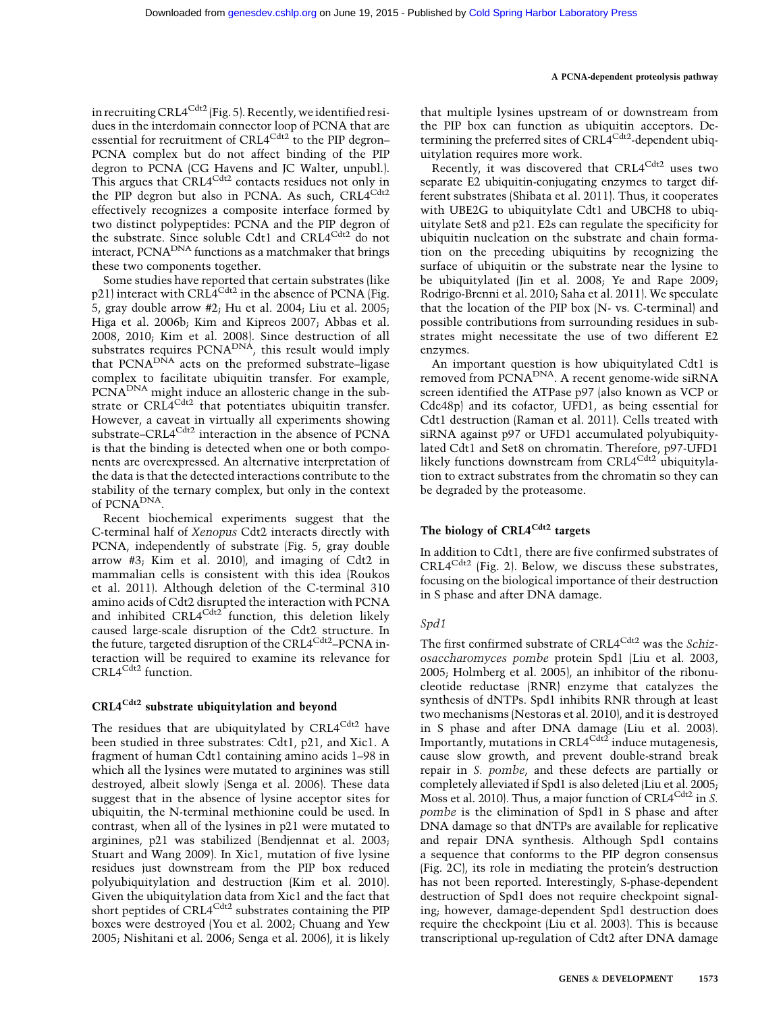in recruiting CRL4 $\text{C}^{d+2}$  (Fig. 5). Recently, we identified residues in the interdomain connector loop of PCNA that are essential for recruitment of CRL4<sup>Cdt2</sup> to the PIP degron– PCNA complex but do not affect binding of the PIP degron to PCNA (CG Havens and JC Walter, unpubl.). This argues that CRL4<sup>Cdt2</sup> contacts residues not only in the PIP degron but also in PCNA. As such, CRL4Cdt2 effectively recognizes a composite interface formed by two distinct polypeptides: PCNA and the PIP degron of the substrate. Since soluble Cdt1 and CRL4<sup>Cdt2</sup> do not interact, PCNA<sup>DNA</sup> functions as a matchmaker that brings these two components together.

Some studies have reported that certain substrates (like p21) interact with CRL4<sup>Cdt2</sup> in the absence of PCNA (Fig. 5, gray double arrow #2; Hu et al. 2004; Liu et al. 2005; Higa et al. 2006b; Kim and Kipreos 2007; Abbas et al. 2008, 2010; Kim et al. 2008). Since destruction of all substrates requires PCNA<sup>DNA</sup>, this result would imply that PCNA<sup>DNA</sup> acts on the preformed substrate–ligase complex to facilitate ubiquitin transfer. For example, PCNADNA might induce an allosteric change in the substrate or CRL4<sup>Cdt2</sup> that potentiates ubiquitin transfer. However, a caveat in virtually all experiments showing substrate–CRL4<sup>Cdt2</sup> interaction in the absence of PCNA is that the binding is detected when one or both components are overexpressed. An alternative interpretation of the data is that the detected interactions contribute to the stability of the ternary complex, but only in the context of PCNA<sup>DNA</sup>.

Recent biochemical experiments suggest that the C-terminal half of Xenopus Cdt2 interacts directly with PCNA, independently of substrate (Fig. 5, gray double arrow #3; Kim et al. 2010), and imaging of Cdt2 in mammalian cells is consistent with this idea (Roukos et al. 2011). Although deletion of the C-terminal 310 amino acids of Cdt2 disrupted the interaction with PCNA and inhibited CRL4<sup>Cdt2</sup> function, this deletion likely caused large-scale disruption of the Cdt2 structure. In the future, targeted disruption of the CRL4<sup>Cdt2</sup>–PCNA interaction will be required to examine its relevance for CRL4<sup>Cdt2</sup> function.

# CRL4<sup>Cdt2</sup> substrate ubiquitylation and beyond

The residues that are ubiquitylated by CRL4<sup>Cdt2</sup> have been studied in three substrates: Cdt1, p21, and Xic1. A fragment of human Cdt1 containing amino acids 1–98 in which all the lysines were mutated to arginines was still destroyed, albeit slowly (Senga et al. 2006). These data suggest that in the absence of lysine acceptor sites for ubiquitin, the N-terminal methionine could be used. In contrast, when all of the lysines in p21 were mutated to arginines, p21 was stabilized (Bendjennat et al. 2003; Stuart and Wang 2009). In Xic1, mutation of five lysine residues just downstream from the PIP box reduced polyubiquitylation and destruction (Kim et al. 2010). Given the ubiquitylation data from Xic1 and the fact that short peptides of  $\text{CRL4}^{\text{Cdt2}}$  substrates containing the PIP boxes were destroyed (You et al. 2002; Chuang and Yew 2005; Nishitani et al. 2006; Senga et al. 2006), it is likely

that multiple lysines upstream of or downstream from the PIP box can function as ubiquitin acceptors. Determining the preferred sites of CRL4<sup>Cdt2</sup>-dependent ubiquitylation requires more work.

Recently, it was discovered that CRL4<sup>Cdt2</sup> uses two separate E2 ubiquitin-conjugating enzymes to target different substrates (Shibata et al. 2011). Thus, it cooperates with UBE2G to ubiquitylate Cdt1 and UBCH8 to ubiquitylate Set8 and p21. E2s can regulate the specificity for ubiquitin nucleation on the substrate and chain formation on the preceding ubiquitins by recognizing the surface of ubiquitin or the substrate near the lysine to be ubiquitylated (Jin et al. 2008; Ye and Rape 2009; Rodrigo-Brenni et al. 2010; Saha et al. 2011). We speculate that the location of the PIP box (N- vs. C-terminal) and possible contributions from surrounding residues in substrates might necessitate the use of two different E2 enzymes.

An important question is how ubiquitylated Cdt1 is removed from PCNADNA. A recent genome-wide siRNA screen identified the ATPase p97 (also known as VCP or Cdc48p) and its cofactor, UFD1, as being essential for Cdt1 destruction (Raman et al. 2011). Cells treated with siRNA against p97 or UFD1 accumulated polyubiquitylated Cdt1 and Set8 on chromatin. Therefore, p97-UFD1 likely functions downstream from CRL4<sup>Cdt2</sup> ubiquitylation to extract substrates from the chromatin so they can be degraded by the proteasome.

# The biology of CRL4<sup>Cdt2</sup> targets

In addition to Cdt1, there are five confirmed substrates of  $CRL4^{Cdt2}$  (Fig. 2). Below, we discuss these substrates, focusing on the biological importance of their destruction in S phase and after DNA damage.

# Spd1

The first confirmed substrate of CRL4<sup>Cdt2</sup> was the Schizosaccharomyces pombe protein Spd1 (Liu et al. 2003, 2005; Holmberg et al. 2005), an inhibitor of the ribonucleotide reductase (RNR) enzyme that catalyzes the synthesis of dNTPs. Spd1 inhibits RNR through at least two mechanisms (Nestoras et al. 2010), and it is destroyed in S phase and after DNA damage (Liu et al. 2003). Importantly, mutations in  $CRL4^{Cdt2}$  induce mutagenesis, cause slow growth, and prevent double-strand break repair in S. pombe, and these defects are partially or completely alleviated if Spd1 is also deleted (Liu et al. 2005; Moss et al. 2010). Thus, a major function of CRL $4^{Cdt2}$  in S. pombe is the elimination of Spd1 in S phase and after DNA damage so that dNTPs are available for replicative and repair DNA synthesis. Although Spd1 contains a sequence that conforms to the PIP degron consensus (Fig. 2C), its role in mediating the protein's destruction has not been reported. Interestingly, S-phase-dependent destruction of Spd1 does not require checkpoint signaling; however, damage-dependent Spd1 destruction does require the checkpoint (Liu et al. 2003). This is because transcriptional up-regulation of Cdt2 after DNA damage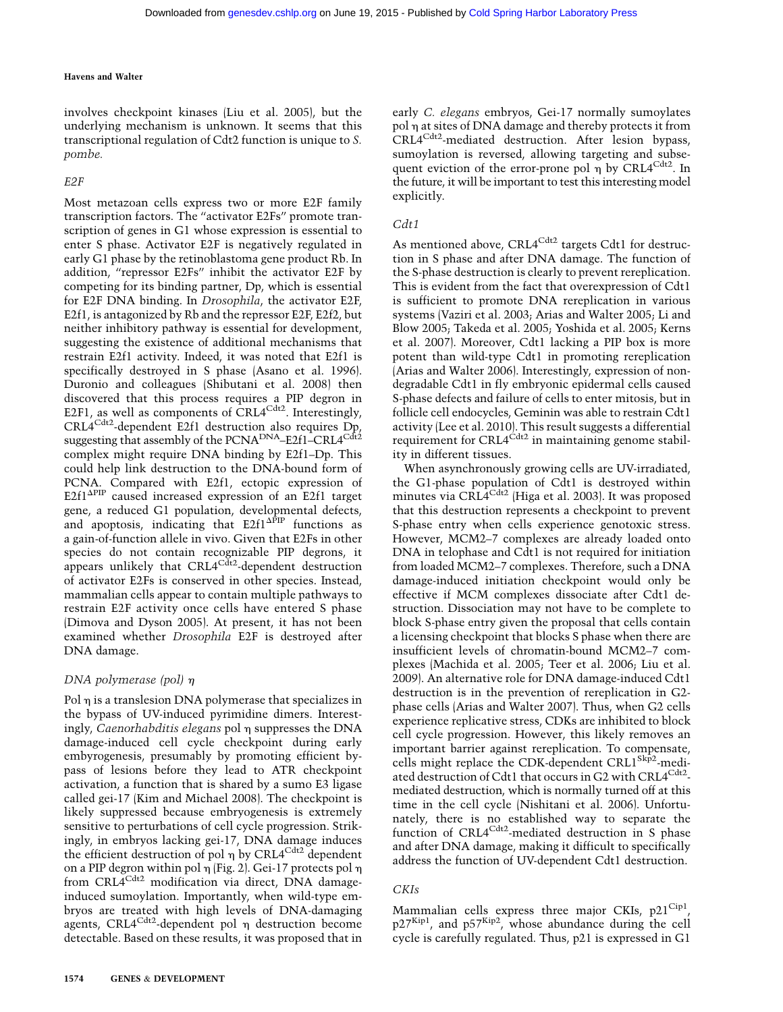involves checkpoint kinases (Liu et al. 2005), but the underlying mechanism is unknown. It seems that this transcriptional regulation of Cdt2 function is unique to S. pombe.

# E2F

Most metazoan cells express two or more E2F family transcription factors. The ''activator E2Fs'' promote transcription of genes in G1 whose expression is essential to enter S phase. Activator E2F is negatively regulated in early G1 phase by the retinoblastoma gene product Rb. In addition, ''repressor E2Fs'' inhibit the activator E2F by competing for its binding partner, Dp, which is essential for E2F DNA binding. In Drosophila, the activator E2F, E2f1, is antagonized by Rb and the repressor E2F, E2f2, but neither inhibitory pathway is essential for development, suggesting the existence of additional mechanisms that restrain E2f1 activity. Indeed, it was noted that E2f1 is specifically destroyed in S phase (Asano et al. 1996). Duronio and colleagues (Shibutani et al. 2008) then discovered that this process requires a PIP degron in E2F1, as well as components of CRL4 $\text{Cat}^2$ . Interestingly, CRL4Cdt2-dependent E2f1 destruction also requires Dp, suggesting that assembly of the PCNA<sup>DNA</sup>–E2f1–CRL4<sup>Cdt2</sup> complex might require DNA binding by E2f1–Dp. This could help link destruction to the DNA-bound form of PCNA. Compared with E2f1, ectopic expression of  $E2f1^{\text{APIP}}$  caused increased expression of an E2f1 target gene, a reduced G1 population, developmental defects, and apoptosis, indicating that  $E2f1^{\Delta\bar{P}IP}$  functions as a gain-of-function allele in vivo. Given that E2Fs in other species do not contain recognizable PIP degrons, it appears unlikely that CRL4<sup>Cdt2</sup>-dependent destruction of activator E2Fs is conserved in other species. Instead, mammalian cells appear to contain multiple pathways to restrain E2F activity once cells have entered S phase (Dimova and Dyson 2005). At present, it has not been examined whether Drosophila E2F is destroyed after DNA damage.

# DNA polymerase (pol)  $\eta$

Pol  $\eta$  is a translesion DNA polymerase that specializes in the bypass of UV-induced pyrimidine dimers. Interestingly, *Caenorhabditis elegans* pol  $\eta$  suppresses the DNA damage-induced cell cycle checkpoint during early embyrogenesis, presumably by promoting efficient bypass of lesions before they lead to ATR checkpoint activation, a function that is shared by a sumo E3 ligase called gei-17 (Kim and Michael 2008). The checkpoint is likely suppressed because embryogenesis is extremely sensitive to perturbations of cell cycle progression. Strikingly, in embryos lacking gei-17, DNA damage induces the efficient destruction of pol  $\eta$  by CRL4<sup>Cdt2</sup> dependent on a PIP degron within pol  $\eta$  (Fig. 2). Gei-17 protects pol  $\eta$ from CRL4<sup>Cdt2</sup> modification via direct, DNA damageinduced sumoylation. Importantly, when wild-type embryos are treated with high levels of DNA-damaging agents,  $CRL4^{Cdt2}$ -dependent pol  $\eta$  destruction become detectable. Based on these results, it was proposed that in

early C. elegans embryos, Gei-17 normally sumoylates pol  $\eta$  at sites of DNA damage and thereby protects it from CRL4<sup>Cdt2</sup>-mediated destruction. After lesion bypass, sumoylation is reversed, allowing targeting and subsequent eviction of the error-prone pol  $\eta$  by CRL4<sup>Cdt2</sup>. In the future, it will be important to test this interesting model explicitly.

# Cdt1

As mentioned above, CRL4<sup>Cdt2</sup> targets Cdt1 for destruction in S phase and after DNA damage. The function of the S-phase destruction is clearly to prevent rereplication. This is evident from the fact that overexpression of Cdt1 is sufficient to promote DNA rereplication in various systems (Vaziri et al. 2003; Arias and Walter 2005; Li and Blow 2005; Takeda et al. 2005; Yoshida et al. 2005; Kerns et al. 2007). Moreover, Cdt1 lacking a PIP box is more potent than wild-type Cdt1 in promoting rereplication (Arias and Walter 2006). Interestingly, expression of nondegradable Cdt1 in fly embryonic epidermal cells caused S-phase defects and failure of cells to enter mitosis, but in follicle cell endocycles, Geminin was able to restrain Cdt1 activity (Lee et al. 2010). This result suggests a differential requirement for  $CRL4^{Cdt2}$  in maintaining genome stability in different tissues.

When asynchronously growing cells are UV-irradiated, the G1-phase population of Cdt1 is destroyed within minutes via CRL4<sup>Cdt2</sup> (Higa et al. 2003). It was proposed that this destruction represents a checkpoint to prevent S-phase entry when cells experience genotoxic stress. However, MCM2–7 complexes are already loaded onto DNA in telophase and Cdt1 is not required for initiation from loaded MCM2–7 complexes. Therefore, such a DNA damage-induced initiation checkpoint would only be effective if MCM complexes dissociate after Cdt1 destruction. Dissociation may not have to be complete to block S-phase entry given the proposal that cells contain a licensing checkpoint that blocks S phase when there are insufficient levels of chromatin-bound MCM2–7 complexes (Machida et al. 2005; Teer et al. 2006; Liu et al. 2009). An alternative role for DNA damage-induced Cdt1 destruction is in the prevention of rereplication in G2 phase cells (Arias and Walter 2007). Thus, when G2 cells experience replicative stress, CDKs are inhibited to block cell cycle progression. However, this likely removes an important barrier against rereplication. To compensate, cells might replace the CDK-dependent CRL1<sup>Skp2</sup>-mediated destruction of Cdt1 that occurs in G2 with CRL4<sup>Cdt2</sup>mediated destruction, which is normally turned off at this time in the cell cycle (Nishitani et al. 2006). Unfortunately, there is no established way to separate the function of CRL4<sup>Cdt2</sup>-mediated destruction in S phase and after DNA damage, making it difficult to specifically address the function of UV-dependent Cdt1 destruction.

# CKIs

Mammalian cells express three major CKIs,  $p21^{\text{Cipl}}$ , p27Kip1, and p57Kip2, whose abundance during the cell cycle is carefully regulated. Thus, p21 is expressed in G1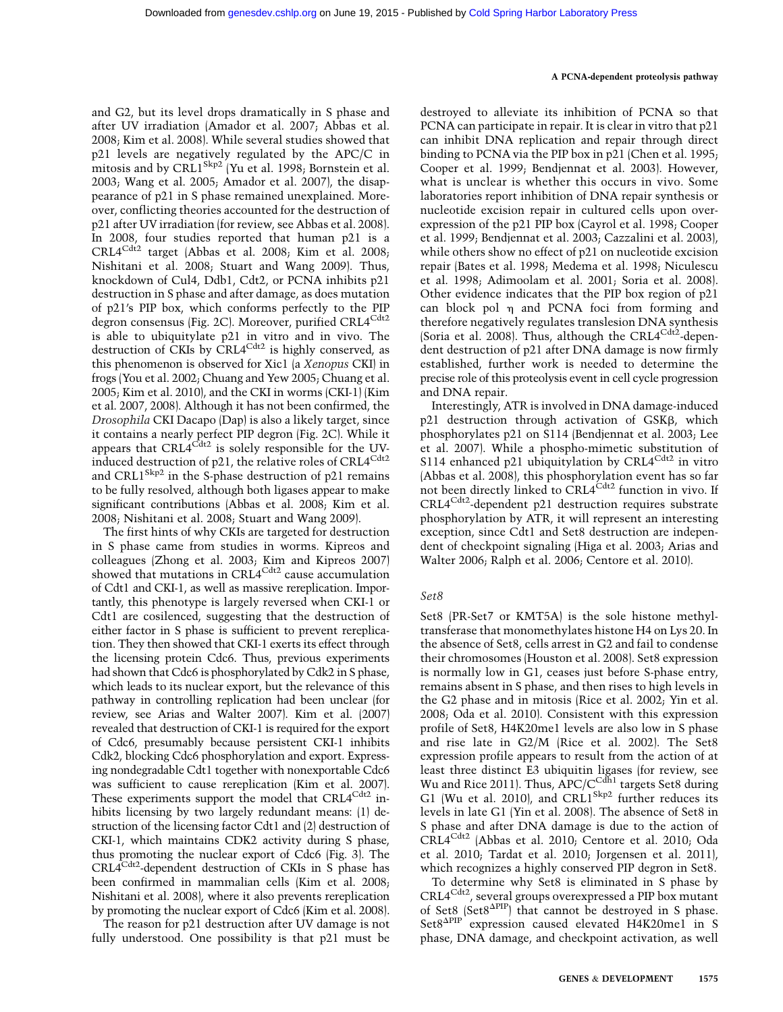and G2, but its level drops dramatically in S phase and after UV irradiation (Amador et al. 2007; Abbas et al. 2008; Kim et al. 2008). While several studies showed that p21 levels are negatively regulated by the APC/C in mitosis and by CRL1<sup>Skp2</sup> (Yu et al. 1998; Bornstein et al. 2003; Wang et al. 2005; Amador et al. 2007), the disappearance of p21 in S phase remained unexplained. Moreover, conflicting theories accounted for the destruction of p21 after UV irradiation (for review, see Abbas et al. 2008). In 2008, four studies reported that human p21 is a  $CRL4^{Cd'2}$  target (Abbas et al. 2008; Kim et al. 2008; Nishitani et al. 2008; Stuart and Wang 2009). Thus, knockdown of Cul4, Ddb1, Cdt2, or PCNA inhibits p21 destruction in S phase and after damage, as does mutation of p21's PIP box, which conforms perfectly to the PIP degron consensus (Fig. 2C). Moreover, purified CRL4<sup>Cdt2</sup> is able to ubiquitylate p21 in vitro and in vivo. The destruction of CKIs by CRL4<sup>Cdt2</sup> is highly conserved, as this phenomenon is observed for Xic1 (a Xenopus CKI) in frogs (You et al. 2002; Chuang and Yew 2005; Chuang et al. 2005; Kim et al. 2010), and the CKI in worms (CKI-1) (Kim et al. 2007, 2008). Although it has not been confirmed, the Drosophila CKI Dacapo (Dap) is also a likely target, since it contains a nearly perfect PIP degron (Fig. 2C). While it appears that  $CRL4^{Cdt2}$  is solely responsible for the UVinduced destruction of p21, the relative roles of CRL4<sup>Cdt2</sup> and CRL1<sup>Skp2</sup> in the S-phase destruction of p21 remains to be fully resolved, although both ligases appear to make significant contributions (Abbas et al. 2008; Kim et al. 2008; Nishitani et al. 2008; Stuart and Wang 2009).

The first hints of why CKIs are targeted for destruction in S phase came from studies in worms. Kipreos and colleagues (Zhong et al. 2003; Kim and Kipreos 2007) showed that mutations in CRL4<sup>Cdt2</sup> cause accumulation of Cdt1 and CKI-1, as well as massive rereplication. Importantly, this phenotype is largely reversed when CKI-1 or Cdt1 are cosilenced, suggesting that the destruction of either factor in S phase is sufficient to prevent rereplication. They then showed that CKI-1 exerts its effect through the licensing protein Cdc6. Thus, previous experiments had shown that Cdc6 is phosphorylated by Cdk2 in S phase, which leads to its nuclear export, but the relevance of this pathway in controlling replication had been unclear (for review, see Arias and Walter 2007). Kim et al. (2007) revealed that destruction of CKI-1 is required for the export of Cdc6, presumably because persistent CKI-1 inhibits Cdk2, blocking Cdc6 phosphorylation and export. Expressing nondegradable Cdt1 together with nonexportable Cdc6 was sufficient to cause rereplication (Kim et al. 2007). These experiments support the model that CRL4<sup>Cdt2</sup> inhibits licensing by two largely redundant means: (1) destruction of the licensing factor Cdt1 and (2) destruction of CKI-1, which maintains CDK2 activity during S phase, thus promoting the nuclear export of Cdc6 (Fig. 3). The CRL4Cdt2-dependent destruction of CKIs in S phase has been confirmed in mammalian cells (Kim et al. 2008; Nishitani et al. 2008), where it also prevents rereplication by promoting the nuclear export of Cdc6 (Kim et al. 2008).

The reason for p21 destruction after UV damage is not fully understood. One possibility is that p21 must be destroyed to alleviate its inhibition of PCNA so that PCNA can participate in repair. It is clear in vitro that p21 can inhibit DNA replication and repair through direct binding to PCNA via the PIP box in p21 (Chen et al. 1995; Cooper et al. 1999; Bendjennat et al. 2003). However, what is unclear is whether this occurs in vivo. Some laboratories report inhibition of DNA repair synthesis or nucleotide excision repair in cultured cells upon overexpression of the p21 PIP box (Cayrol et al. 1998; Cooper et al. 1999; Bendjennat et al. 2003; Cazzalini et al. 2003), while others show no effect of p21 on nucleotide excision repair (Bates et al. 1998; Medema et al. 1998; Niculescu et al. 1998; Adimoolam et al. 2001; Soria et al. 2008). Other evidence indicates that the PIP box region of p21 can block pol  $\eta$  and PCNA foci from forming and therefore negatively regulates translesion DNA synthesis (Soria et al. 2008). Thus, although the CRL $4^{Cdt2}$ -dependent destruction of p21 after DNA damage is now firmly established, further work is needed to determine the precise role of this proteolysis event in cell cycle progression and DNA repair.

Interestingly, ATR is involved in DNA damage-induced  $p21$  destruction through activation of GSK $\beta$ , which phosphorylates p21 on S114 (Bendjennat et al. 2003; Lee et al. 2007). While a phospho-mimetic substitution of S114 enhanced p21 ubiquitylation by CRL4<sup>Cdt2</sup> in vitro (Abbas et al. 2008), this phosphorylation event has so far not been directly linked to CRL4<sup>Cdt2</sup> function in vivo. If CRL4<sup>Cdt2</sup>-dependent p21 destruction requires substrate phosphorylation by ATR, it will represent an interesting exception, since Cdt1 and Set8 destruction are independent of checkpoint signaling (Higa et al. 2003; Arias and Walter 2006; Ralph et al. 2006; Centore et al. 2010).

# Set8

Set8 (PR-Set7 or KMT5A) is the sole histone methyltransferase that monomethylates histone H4 on Lys 20. In the absence of Set8, cells arrest in G2 and fail to condense their chromosomes (Houston et al. 2008). Set8 expression is normally low in G1, ceases just before S-phase entry, remains absent in S phase, and then rises to high levels in the G2 phase and in mitosis (Rice et al. 2002; Yin et al. 2008; Oda et al. 2010). Consistent with this expression profile of Set8, H4K20me1 levels are also low in S phase and rise late in G2/M (Rice et al. 2002). The Set8 expression profile appears to result from the action of at least three distinct E3 ubiquitin ligases (for review, see Wu and Rice 2011). Thus, APC/C<sup>Cdh1</sup> targets Set8 during G1 (Wu et al. 2010), and CRL1<sup>Skp2</sup> further reduces its levels in late G1 (Yin et al. 2008). The absence of Set8 in S phase and after DNA damage is due to the action of CRL4Cdt2 (Abbas et al. 2010; Centore et al. 2010; Oda et al. 2010; Tardat et al. 2010; Jorgensen et al. 2011), which recognizes a highly conserved PIP degron in Set8.

To determine why Set8 is eliminated in S phase by CRL4<sup>Cdt2</sup>, several groups overexpressed a PIP box mutant of Set8 (Set8 $\Delta$ PIP) that cannot be destroyed in S phase. Set8<sup>APIP</sup> expression caused elevated H4K20me1 in S phase, DNA damage, and checkpoint activation, as well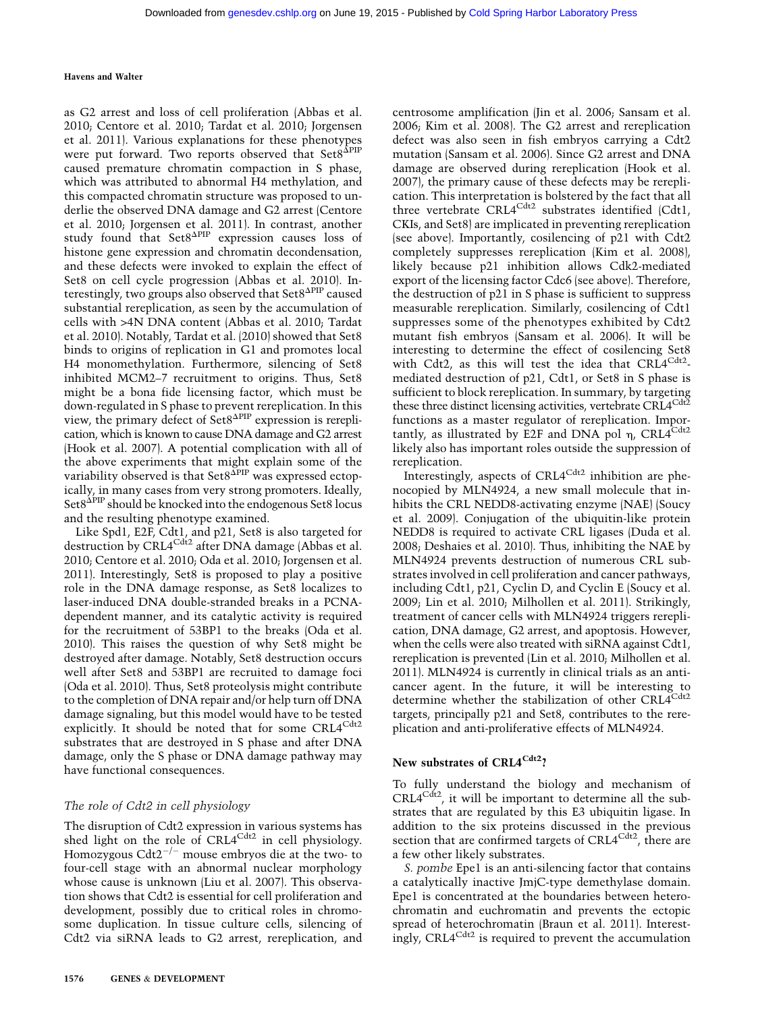as G2 arrest and loss of cell proliferation (Abbas et al. 2010; Centore et al. 2010; Tardat et al. 2010; Jorgensen et al. 2011). Various explanations for these phenotypes were put forward. Two reports observed that Set8<sup>APIP</sup> caused premature chromatin compaction in S phase, which was attributed to abnormal H4 methylation, and this compacted chromatin structure was proposed to underlie the observed DNA damage and G2 arrest (Centore et al. 2010; Jorgensen et al. 2011). In contrast, another study found that Set8<sup>APIP</sup> expression causes loss of histone gene expression and chromatin decondensation, and these defects were invoked to explain the effect of Set8 on cell cycle progression (Abbas et al. 2010). Interestingly, two groups also observed that  $Set8^{\text{APIP}}$  caused substantial rereplication, as seen by the accumulation of cells with >4N DNA content (Abbas et al. 2010; Tardat et al. 2010). Notably, Tardat et al. (2010) showed that Set8 binds to origins of replication in G1 and promotes local H4 monomethylation. Furthermore, silencing of Set8 inhibited MCM2–7 recruitment to origins. Thus, Set8 might be a bona fide licensing factor, which must be down-regulated in S phase to prevent rereplication. In this view, the primary defect of Set8<sup>APIP</sup> expression is rereplication, which is known to cause DNA damage and G2 arrest (Hook et al. 2007). A potential complication with all of the above experiments that might explain some of the variability observed is that  $Set8^{\text{APIP}}$  was expressed ectopically, in many cases from very strong promoters. Ideally,  $\operatorname{Set8}^{\Delta \text{PIP}}$  should be knocked into the endogenous Set8 locus and the resulting phenotype examined.

Like Spd1, E2F, Cdt1, and p21, Set8 is also targeted for destruction by CRL4<sup>Cdt2</sup> after DNA damage (Abbas et al. 2010; Centore et al. 2010; Oda et al. 2010; Jorgensen et al. 2011). Interestingly, Set8 is proposed to play a positive role in the DNA damage response, as Set8 localizes to laser-induced DNA double-stranded breaks in a PCNAdependent manner, and its catalytic activity is required for the recruitment of 53BP1 to the breaks (Oda et al. 2010). This raises the question of why Set8 might be destroyed after damage. Notably, Set8 destruction occurs well after Set8 and 53BP1 are recruited to damage foci (Oda et al. 2010). Thus, Set8 proteolysis might contribute to the completion of DNA repair and/or help turn off DNA damage signaling, but this model would have to be tested explicitly. It should be noted that for some CRL4<sup>Cdt2</sup> substrates that are destroyed in S phase and after DNA damage, only the S phase or DNA damage pathway may have functional consequences.

# The role of Cdt2 in cell physiology

The disruption of Cdt2 expression in various systems has shed light on the role of  $CRL4^{Cdt2}$  in cell physiology. Homozygous  $Cdt2^{-/-}$  mouse embryos die at the two- to four-cell stage with an abnormal nuclear morphology whose cause is unknown (Liu et al. 2007). This observation shows that Cdt2 is essential for cell proliferation and development, possibly due to critical roles in chromosome duplication. In tissue culture cells, silencing of Cdt2 via siRNA leads to G2 arrest, rereplication, and

centrosome amplification (Jin et al. 2006; Sansam et al. 2006; Kim et al. 2008). The G2 arrest and rereplication defect was also seen in fish embryos carrying a Cdt2 mutation (Sansam et al. 2006). Since G2 arrest and DNA damage are observed during rereplication (Hook et al. 2007), the primary cause of these defects may be rereplication. This interpretation is bolstered by the fact that all three vertebrate CRL4<sup>Cdt2</sup> substrates identified (Cdt1, CKIs, and Set8) are implicated in preventing rereplication (see above). Importantly, cosilencing of p21 with Cdt2 completely suppresses rereplication (Kim et al. 2008), likely because p21 inhibition allows Cdk2-mediated export of the licensing factor Cdc6 (see above). Therefore, the destruction of p21 in S phase is sufficient to suppress measurable rereplication. Similarly, cosilencing of Cdt1 suppresses some of the phenotypes exhibited by Cdt2 mutant fish embryos (Sansam et al. 2006). It will be interesting to determine the effect of cosilencing Set8 with Cdt2, as this will test the idea that CRL4<sup>Cdt2</sup>mediated destruction of p21, Cdt1, or Set8 in S phase is sufficient to block rereplication. In summary, by targeting these three distinct licensing activities, vertebrate CRL4<sup>Cdt2</sup> functions as a master regulator of rereplication. Importantly, as illustrated by E2F and DNA pol  $\eta$ , CRL4<sup>Cdt2</sup> likely also has important roles outside the suppression of rereplication.

Interestingly, aspects of  $CRL4^{Cdt2}$  inhibition are phenocopied by MLN4924, a new small molecule that inhibits the CRL NEDD8-activating enzyme (NAE) (Soucy et al. 2009). Conjugation of the ubiquitin-like protein NEDD8 is required to activate CRL ligases (Duda et al. 2008; Deshaies et al. 2010). Thus, inhibiting the NAE by MLN4924 prevents destruction of numerous CRL substrates involved in cell proliferation and cancer pathways, including Cdt1, p21, Cyclin D, and Cyclin E (Soucy et al. 2009; Lin et al. 2010; Milhollen et al. 2011). Strikingly, treatment of cancer cells with MLN4924 triggers rereplication, DNA damage, G2 arrest, and apoptosis. However, when the cells were also treated with siRNA against Cdt1, rereplication is prevented (Lin et al. 2010; Milhollen et al. 2011). MLN4924 is currently in clinical trials as an anticancer agent. In the future, it will be interesting to determine whether the stabilization of other CRL4<sup>Cdt2</sup> targets, principally p21 and Set8, contributes to the rereplication and anti-proliferative effects of MLN4924.

#### New substrates of CRL4<sup>Cdt2</sup>?

To fully understand the biology and mechanism of  $CRL4^{Cdt2}$ , it will be important to determine all the substrates that are regulated by this E3 ubiquitin ligase. In addition to the six proteins discussed in the previous section that are confirmed targets of CRL4<sup>Cdt2</sup>, there are a few other likely substrates.

S. pombe Epe1 is an anti-silencing factor that contains a catalytically inactive JmjC-type demethylase domain. Epe1 is concentrated at the boundaries between heterochromatin and euchromatin and prevents the ectopic spread of heterochromatin (Braun et al. 2011). Interestingly, CRL $4^{Cdt2}$  is required to prevent the accumulation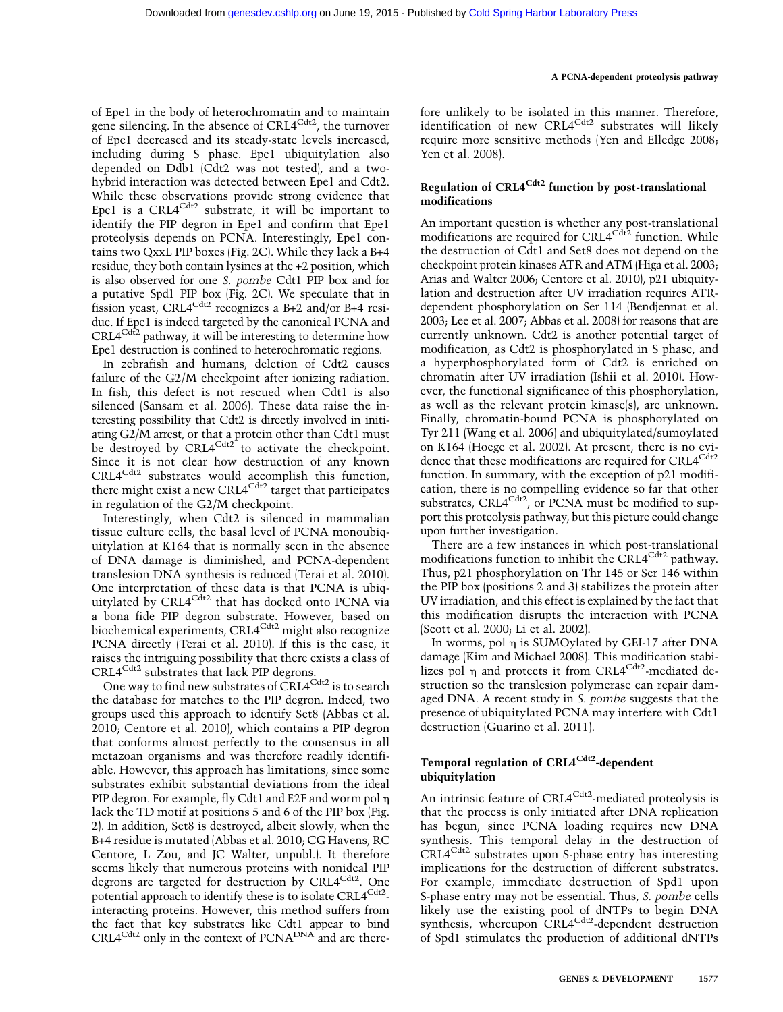of Epe1 in the body of heterochromatin and to maintain gene silencing. In the absence of CRL4<sup>Cdt2</sup>, the turnover of Epe1 decreased and its steady-state levels increased, including during S phase. Epe1 ubiquitylation also depended on Ddb1 (Cdt2 was not tested), and a twohybrid interaction was detected between Epe1 and Cdt2. While these observations provide strong evidence that Epe1 is a  $CRL4^{Cdt2}$  substrate, it will be important to identify the PIP degron in Epe1 and confirm that Epe1 proteolysis depends on PCNA. Interestingly, Epe1 contains two QxxL PIP boxes (Fig. 2C). While they lack a B+4 residue, they both contain lysines at the +2 position, which is also observed for one S. pombe Cdt1 PIP box and for a putative Spd1 PIP box (Fig. 2C). We speculate that in fission yeast, CRL4<sup>Cdt2</sup> recognizes a B+2 and/or B+4 residue. If Epe1 is indeed targeted by the canonical PCNA and  $CRL4^{Cdt2}$  pathway, it will be interesting to determine how Epe1 destruction is confined to heterochromatic regions.

In zebrafish and humans, deletion of Cdt2 causes failure of the G2/M checkpoint after ionizing radiation. In fish, this defect is not rescued when Cdt1 is also silenced (Sansam et al. 2006). These data raise the interesting possibility that Cdt2 is directly involved in initiating G2/M arrest, or that a protein other than Cdt1 must be destroyed by  $CRL4^{Cdt2}$  to activate the checkpoint. Since it is not clear how destruction of any known CRL4<sup>Cdt2</sup> substrates would accomplish this function, there might exist a new CRL4<sup>Cdt2</sup> target that participates in regulation of the G2/M checkpoint.

Interestingly, when Cdt2 is silenced in mammalian tissue culture cells, the basal level of PCNA monoubiquitylation at K164 that is normally seen in the absence of DNA damage is diminished, and PCNA-dependent translesion DNA synthesis is reduced (Terai et al. 2010). One interpretation of these data is that PCNA is ubiquitylated by CRL4<sup>Cdt2</sup> that has docked onto PCNA via a bona fide PIP degron substrate. However, based on biochemical experiments, CRL4<sup>Cdt2</sup> might also recognize PCNA directly (Terai et al. 2010). If this is the case, it raises the intriguing possibility that there exists a class of  $CRL4^{Cdt2}$  substrates that lack PIP degrons.

One way to find new substrates of CRL4<sup>Cdt2</sup> is to search the database for matches to the PIP degron. Indeed, two groups used this approach to identify Set8 (Abbas et al. 2010; Centore et al. 2010), which contains a PIP degron that conforms almost perfectly to the consensus in all metazoan organisms and was therefore readily identifiable. However, this approach has limitations, since some substrates exhibit substantial deviations from the ideal PIP degron. For example, fly Cdt1 and E2F and worm pol  $\eta$ lack the TD motif at positions 5 and 6 of the PIP box (Fig. 2). In addition, Set8 is destroyed, albeit slowly, when the B+4 residue is mutated (Abbas et al. 2010; CG Havens, RC Centore, L Zou, and JC Walter, unpubl.). It therefore seems likely that numerous proteins with nonideal PIP degrons are targeted for destruction by CRL4<sup>Cdt2</sup>. One potential approach to identify these is to isolate CRL4<sup>Cdt2</sup>interacting proteins. However, this method suffers from the fact that key substrates like Cdt1 appear to bind CRL4<sup>Cdt2</sup> only in the context of PCNA<sup>DNA</sup> and are therefore unlikely to be isolated in this manner. Therefore, identification of new CRL4<sup>Cdt2</sup> substrates will likely require more sensitive methods (Yen and Elledge 2008; Yen et al. 2008).

# Regulation of  $CRL4^{Cdt2}$  function by post-translational modifications

An important question is whether any post-translational modifications are required for CRL4<sup>Cdt2</sup> function. While the destruction of Cdt1 and Set8 does not depend on the checkpoint protein kinases ATR and ATM (Higa et al. 2003; Arias and Walter 2006; Centore et al. 2010), p21 ubiquitylation and destruction after UV irradiation requires ATRdependent phosphorylation on Ser 114 (Bendjennat et al. 2003; Lee et al. 2007; Abbas et al. 2008) for reasons that are currently unknown. Cdt2 is another potential target of modification, as Cdt2 is phosphorylated in S phase, and a hyperphosphorylated form of Cdt2 is enriched on chromatin after UV irradiation (Ishii et al. 2010). However, the functional significance of this phosphorylation, as well as the relevant protein kinase(s), are unknown. Finally, chromatin-bound PCNA is phosphorylated on Tyr 211 (Wang et al. 2006) and ubiquitylated/sumoylated on K164 (Hoege et al. 2002). At present, there is no evidence that these modifications are required for CRL4<sup>Cdt2</sup> function. In summary, with the exception of p21 modification, there is no compelling evidence so far that other substrates, CRL $4^{Cdt2}$ , or PCNA must be modified to support this proteolysis pathway, but this picture could change upon further investigation.

There are a few instances in which post-translational modifications function to inhibit the CRL4<sup>Cdt2</sup> pathway. Thus, p21 phosphorylation on Thr 145 or Ser 146 within the PIP box (positions 2 and 3) stabilizes the protein after UV irradiation, and this effect is explained by the fact that this modification disrupts the interaction with PCNA (Scott et al. 2000; Li et al. 2002).

In worms, pol  $\eta$  is SUMOylated by GEI-17 after DNA damage (Kim and Michael 2008). This modification stabilizes pol  $\eta$  and protects it from CRL4<sup>Cdt2</sup>-mediated destruction so the translesion polymerase can repair damaged DNA. A recent study in S. pombe suggests that the presence of ubiquitylated PCNA may interfere with Cdt1 destruction (Guarino et al. 2011).

# Temporal regulation of CRL4<sup>Cdt2</sup>-dependent ubiquitylation

An intrinsic feature of CRL4<sup>Cdt2</sup>-mediated proteolysis is that the process is only initiated after DNA replication has begun, since PCNA loading requires new DNA synthesis. This temporal delay in the destruction of CRL4Cdt2 substrates upon S-phase entry has interesting implications for the destruction of different substrates. For example, immediate destruction of Spd1 upon S-phase entry may not be essential. Thus, S. pombe cells likely use the existing pool of dNTPs to begin DNA synthesis, whereupon CRL4<sup>Cdt2</sup>-dependent destruction of Spd1 stimulates the production of additional dNTPs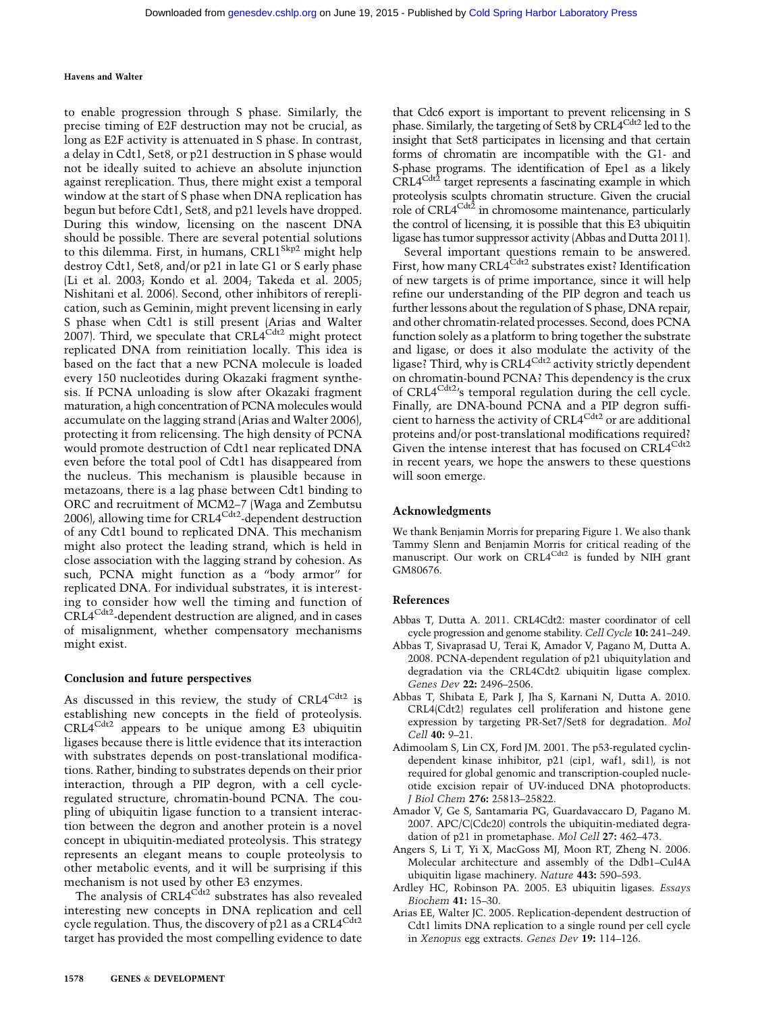to enable progression through S phase. Similarly, the precise timing of E2F destruction may not be crucial, as long as E2F activity is attenuated in S phase. In contrast, a delay in Cdt1, Set8, or p21 destruction in S phase would not be ideally suited to achieve an absolute injunction against rereplication. Thus, there might exist a temporal window at the start of S phase when DNA replication has begun but before Cdt1, Set8, and p21 levels have dropped. During this window, licensing on the nascent DNA should be possible. There are several potential solutions to this dilemma. First, in humans, CRL1<sup>Skp2</sup> might help destroy Cdt1, Set8, and/or p21 in late G1 or S early phase (Li et al. 2003; Kondo et al. 2004; Takeda et al. 2005; Nishitani et al. 2006). Second, other inhibitors of rereplication, such as Geminin, might prevent licensing in early S phase when Cdt1 is still present (Arias and Walter 2007). Third, we speculate that  $CRL4^{Cdt2}$  might protect replicated DNA from reinitiation locally. This idea is based on the fact that a new PCNA molecule is loaded every 150 nucleotides during Okazaki fragment synthesis. If PCNA unloading is slow after Okazaki fragment maturation, a high concentration of PCNA molecules would accumulate on the lagging strand (Arias and Walter 2006), protecting it from relicensing. The high density of PCNA would promote destruction of Cdt1 near replicated DNA even before the total pool of Cdt1 has disappeared from the nucleus. This mechanism is plausible because in metazoans, there is a lag phase between Cdt1 binding to ORC and recruitment of MCM2–7 (Waga and Zembutsu 2006), allowing time for  $CRL4^{Cdt2}$ -dependent destruction of any Cdt1 bound to replicated DNA. This mechanism might also protect the leading strand, which is held in close association with the lagging strand by cohesion. As such, PCNA might function as a ''body armor'' for replicated DNA. For individual substrates, it is interesting to consider how well the timing and function of CRL4Cdt2-dependent destruction are aligned, and in cases of misalignment, whether compensatory mechanisms might exist.

#### Conclusion and future perspectives

As discussed in this review, the study of  $CRL4^{Cdt2}$  is establishing new concepts in the field of proteolysis. CRL4Cdt2 appears to be unique among E3 ubiquitin ligases because there is little evidence that its interaction with substrates depends on post-translational modifications. Rather, binding to substrates depends on their prior interaction, through a PIP degron, with a cell cycleregulated structure, chromatin-bound PCNA. The coupling of ubiquitin ligase function to a transient interaction between the degron and another protein is a novel concept in ubiquitin-mediated proteolysis. This strategy represents an elegant means to couple proteolysis to other metabolic events, and it will be surprising if this mechanism is not used by other E3 enzymes.

The analysis of CRL4<sup>Cdt2</sup> substrates has also revealed interesting new concepts in DNA replication and cell cycle regulation. Thus, the discovery of p21 as a CRL4<sup>Cdt2</sup> target has provided the most compelling evidence to date

that Cdc6 export is important to prevent relicensing in S phase. Similarly, the targeting of Set8 by CRL4<sup>Cdt2</sup> led to the insight that Set8 participates in licensing and that certain forms of chromatin are incompatible with the G1- and S-phase programs. The identification of Epe1 as a likely  $CRL4^{Cdt\bar{2}}$  target represents a fascinating example in which proteolysis sculpts chromatin structure. Given the crucial role of CRL4<sup>Cdt2</sup> in chromosome maintenance, particularly the control of licensing, it is possible that this E3 ubiquitin ligase has tumor suppressor activity (Abbas and Dutta 2011).

Several important questions remain to be answered. First, how many CRL4<sup>Cdt2</sup> substrates exist? Identification of new targets is of prime importance, since it will help refine our understanding of the PIP degron and teach us further lessons about the regulation of S phase, DNA repair, and other chromatin-related processes. Second, does PCNA function solely as a platform to bring together the substrate and ligase, or does it also modulate the activity of the ligase? Third, why is CRL4<sup>Cdt2</sup> activity strictly dependent on chromatin-bound PCNA? This dependency is the crux of CRL4<sup>Cdt2</sup>'s temporal regulation during the cell cycle. Finally, are DNA-bound PCNA and a PIP degron sufficient to harness the activity of CRL4Cdt2 or are additional proteins and/or post-translational modifications required? Given the intense interest that has focused on CRL4<sup>Cdt2</sup> in recent years, we hope the answers to these questions will soon emerge.

#### Acknowledgments

We thank Benjamin Morris for preparing Figure 1. We also thank Tammy Slenn and Benjamin Morris for critical reading of the manuscript. Our work on CRL4<sup>Cdt2</sup> is funded by NIH grant GM80676.

#### References

- Abbas T, Dutta A. 2011. CRL4Cdt2: master coordinator of cell cycle progression and genome stability. Cell Cycle 10: 241–249.
- Abbas T, Sivaprasad U, Terai K, Amador V, Pagano M, Dutta A. 2008. PCNA-dependent regulation of p21 ubiquitylation and degradation via the CRL4Cdt2 ubiquitin ligase complex. Genes Dev 22: 2496–2506.
- Abbas T, Shibata E, Park J, Jha S, Karnani N, Dutta A. 2010. CRL4(Cdt2) regulates cell proliferation and histone gene expression by targeting PR-Set7/Set8 for degradation. Mol Cell 40: 9–21.
- Adimoolam S, Lin CX, Ford JM. 2001. The p53-regulated cyclindependent kinase inhibitor, p21 (cip1, waf1, sdi1), is not required for global genomic and transcription-coupled nucleotide excision repair of UV-induced DNA photoproducts. J Biol Chem 276: 25813–25822.
- Amador V, Ge S, Santamaria PG, Guardavaccaro D, Pagano M. 2007. APC/C(Cdc20) controls the ubiquitin-mediated degradation of p21 in prometaphase. Mol Cell 27: 462–473.
- Angers S, Li T, Yi X, MacGoss MJ, Moon RT, Zheng N. 2006. Molecular architecture and assembly of the Ddb1–Cul4A ubiquitin ligase machinery. Nature 443: 590–593.
- Ardley HC, Robinson PA. 2005. E3 ubiquitin ligases. Essays Biochem 41: 15–30.
- Arias EE, Walter JC. 2005. Replication-dependent destruction of Cdt1 limits DNA replication to a single round per cell cycle in Xenopus egg extracts. Genes Dev 19: 114–126.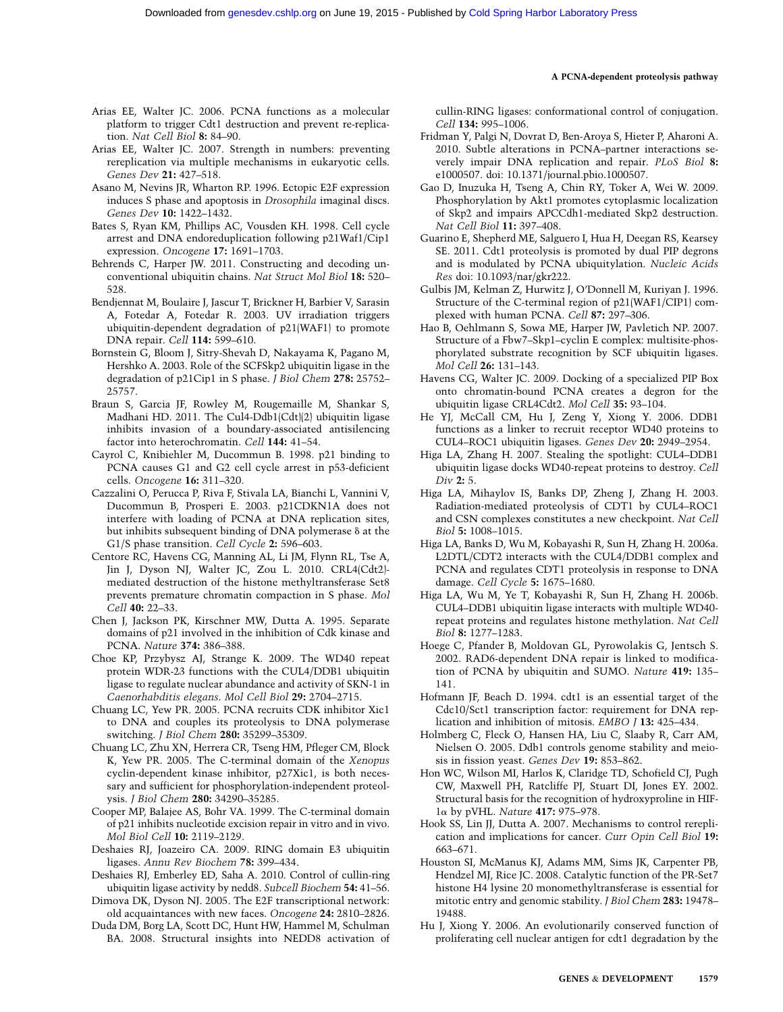- Arias EE, Walter JC. 2006. PCNA functions as a molecular platform to trigger Cdt1 destruction and prevent re-replication. Nat Cell Biol 8: 84–90.
- Arias EE, Walter JC. 2007. Strength in numbers: preventing rereplication via multiple mechanisms in eukaryotic cells. Genes Dev 21: 427–518.
- Asano M, Nevins JR, Wharton RP. 1996. Ectopic E2F expression induces S phase and apoptosis in Drosophila imaginal discs. Genes Dev 10: 1422–1432.
- Bates S, Ryan KM, Phillips AC, Vousden KH. 1998. Cell cycle arrest and DNA endoreduplication following p21Waf1/Cip1 expression. Oncogene 17: 1691–1703.
- Behrends C, Harper JW. 2011. Constructing and decoding unconventional ubiquitin chains. Nat Struct Mol Biol 18: 520– 528.
- Bendjennat M, Boulaire J, Jascur T, Brickner H, Barbier V, Sarasin A, Fotedar A, Fotedar R. 2003. UV irradiation triggers ubiquitin-dependent degradation of p21(WAF1) to promote DNA repair. Cell 114: 599–610.
- Bornstein G, Bloom J, Sitry-Shevah D, Nakayama K, Pagano M, Hershko A. 2003. Role of the SCFSkp2 ubiquitin ligase in the degradation of p21Cip1 in S phase. J Biol Chem 278: 25752– 25757.
- Braun S, Garcia JF, Rowley M, Rougemaille M, Shankar S, Madhani HD. 2011. The Cul4-Ddb1(Cdt)(2) ubiquitin ligase inhibits invasion of a boundary-associated antisilencing factor into heterochromatin. Cell 144: 41–54.
- Cayrol C, Knibiehler M, Ducommun B. 1998. p21 binding to PCNA causes G1 and G2 cell cycle arrest in p53-deficient cells. Oncogene 16: 311–320.
- Cazzalini O, Perucca P, Riva F, Stivala LA, Bianchi L, Vannini V, Ducommun B, Prosperi E. 2003. p21CDKN1A does not interfere with loading of PCNA at DNA replication sites, but inhibits subsequent binding of DNA polymerase  $\delta$  at the G1/S phase transition. Cell Cycle 2: 596-603.
- Centore RC, Havens CG, Manning AL, Li JM, Flynn RL, Tse A, Jin J, Dyson NJ, Walter JC, Zou L. 2010. CRL4(Cdt2) mediated destruction of the histone methyltransferase Set8 prevents premature chromatin compaction in S phase. Mol Cell 40: 22–33.
- Chen J, Jackson PK, Kirschner MW, Dutta A. 1995. Separate domains of p21 involved in the inhibition of Cdk kinase and PCNA. Nature 374: 386–388.
- Choe KP, Przybysz AJ, Strange K. 2009. The WD40 repeat protein WDR-23 functions with the CUL4/DDB1 ubiquitin ligase to regulate nuclear abundance and activity of SKN-1 in Caenorhabditis elegans. Mol Cell Biol 29: 2704–2715.
- Chuang LC, Yew PR. 2005. PCNA recruits CDK inhibitor Xic1 to DNA and couples its proteolysis to DNA polymerase switching. J Biol Chem 280: 35299–35309.
- Chuang LC, Zhu XN, Herrera CR, Tseng HM, Pfleger CM, Block K, Yew PR. 2005. The C-terminal domain of the Xenopus cyclin-dependent kinase inhibitor, p27Xic1, is both necessary and sufficient for phosphorylation-independent proteolysis. J Biol Chem 280: 34290–35285.
- Cooper MP, Balajee AS, Bohr VA. 1999. The C-terminal domain of p21 inhibits nucleotide excision repair in vitro and in vivo. Mol Biol Cell 10: 2119–2129.
- Deshaies RJ, Joazeiro CA. 2009. RING domain E3 ubiquitin ligases. Annu Rev Biochem 78: 399–434.
- Deshaies RJ, Emberley ED, Saha A. 2010. Control of cullin-ring ubiquitin ligase activity by nedd8. Subcell Biochem 54: 41–56.
- Dimova DK, Dyson NJ. 2005. The E2F transcriptional network: old acquaintances with new faces. Oncogene 24: 2810–2826.
- Duda DM, Borg LA, Scott DC, Hunt HW, Hammel M, Schulman BA. 2008. Structural insights into NEDD8 activation of

cullin-RING ligases: conformational control of conjugation. Cell 134: 995–1006.

- Fridman Y, Palgi N, Dovrat D, Ben-Aroya S, Hieter P, Aharoni A. 2010. Subtle alterations in PCNA–partner interactions severely impair DNA replication and repair. PLoS Biol 8: e1000507. doi: 10.1371/journal.pbio.1000507.
- Gao D, Inuzuka H, Tseng A, Chin RY, Toker A, Wei W. 2009. Phosphorylation by Akt1 promotes cytoplasmic localization of Skp2 and impairs APCCdh1-mediated Skp2 destruction. Nat Cell Biol 11: 397–408.
- Guarino E, Shepherd ME, Salguero I, Hua H, Deegan RS, Kearsey SE. 2011. Cdt1 proteolysis is promoted by dual PIP degrons and is modulated by PCNA ubiquitylation. Nucleic Acids Res doi: 10.1093/nar/gkr222.
- Gulbis JM, Kelman Z, Hurwitz J, O'Donnell M, Kuriyan J. 1996. Structure of the C-terminal region of p21(WAF1/CIP1) complexed with human PCNA. Cell 87: 297–306.
- Hao B, Oehlmann S, Sowa ME, Harper JW, Pavletich NP. 2007. Structure of a Fbw7–Skp1–cyclin E complex: multisite-phosphorylated substrate recognition by SCF ubiquitin ligases. Mol Cell 26: 131–143.
- Havens CG, Walter JC. 2009. Docking of a specialized PIP Box onto chromatin-bound PCNA creates a degron for the ubiquitin ligase CRL4Cdt2. Mol Cell 35: 93–104.
- He YJ, McCall CM, Hu J, Zeng Y, Xiong Y. 2006. DDB1 functions as a linker to recruit receptor WD40 proteins to CUL4–ROC1 ubiquitin ligases. Genes Dev 20: 2949–2954.
- Higa LA, Zhang H. 2007. Stealing the spotlight: CUL4–DDB1 ubiquitin ligase docks WD40-repeat proteins to destroy. Cell Div 2: 5.
- Higa LA, Mihaylov IS, Banks DP, Zheng J, Zhang H. 2003. Radiation-mediated proteolysis of CDT1 by CUL4–ROC1 and CSN complexes constitutes a new checkpoint. Nat Cell Biol 5: 1008–1015.
- Higa LA, Banks D, Wu M, Kobayashi R, Sun H, Zhang H. 2006a. L2DTL/CDT2 interacts with the CUL4/DDB1 complex and PCNA and regulates CDT1 proteolysis in response to DNA damage. Cell Cycle 5: 1675–1680.
- Higa LA, Wu M, Ye T, Kobayashi R, Sun H, Zhang H. 2006b. CUL4–DDB1 ubiquitin ligase interacts with multiple WD40 repeat proteins and regulates histone methylation. Nat Cell Biol 8: 1277–1283.
- Hoege C, Pfander B, Moldovan GL, Pyrowolakis G, Jentsch S. 2002. RAD6-dependent DNA repair is linked to modification of PCNA by ubiquitin and SUMO. Nature 419: 135– 141.
- Hofmann JF, Beach D. 1994. cdt1 is an essential target of the Cdc10/Sct1 transcription factor: requirement for DNA replication and inhibition of mitosis. EMBO J 13: 425–434.
- Holmberg C, Fleck O, Hansen HA, Liu C, Slaaby R, Carr AM, Nielsen O. 2005. Ddb1 controls genome stability and meiosis in fission yeast. Genes Dev 19: 853–862.
- Hon WC, Wilson MI, Harlos K, Claridge TD, Schofield CJ, Pugh CW, Maxwell PH, Ratcliffe PJ, Stuart DI, Jones EY. 2002. Structural basis for the recognition of hydroxyproline in HIF- $1\alpha$  by pVHL. Nature 417: 975–978.
- Hook SS, Lin JJ, Dutta A. 2007. Mechanisms to control rereplication and implications for cancer. Curr Opin Cell Biol 19: 663–671.
- Houston SI, McManus KJ, Adams MM, Sims JK, Carpenter PB, Hendzel MJ, Rice JC. 2008. Catalytic function of the PR-Set7 histone H4 lysine 20 monomethyltransferase is essential for mitotic entry and genomic stability. J Biol Chem 283: 19478– 19488.
- Hu J, Xiong Y. 2006. An evolutionarily conserved function of proliferating cell nuclear antigen for cdt1 degradation by the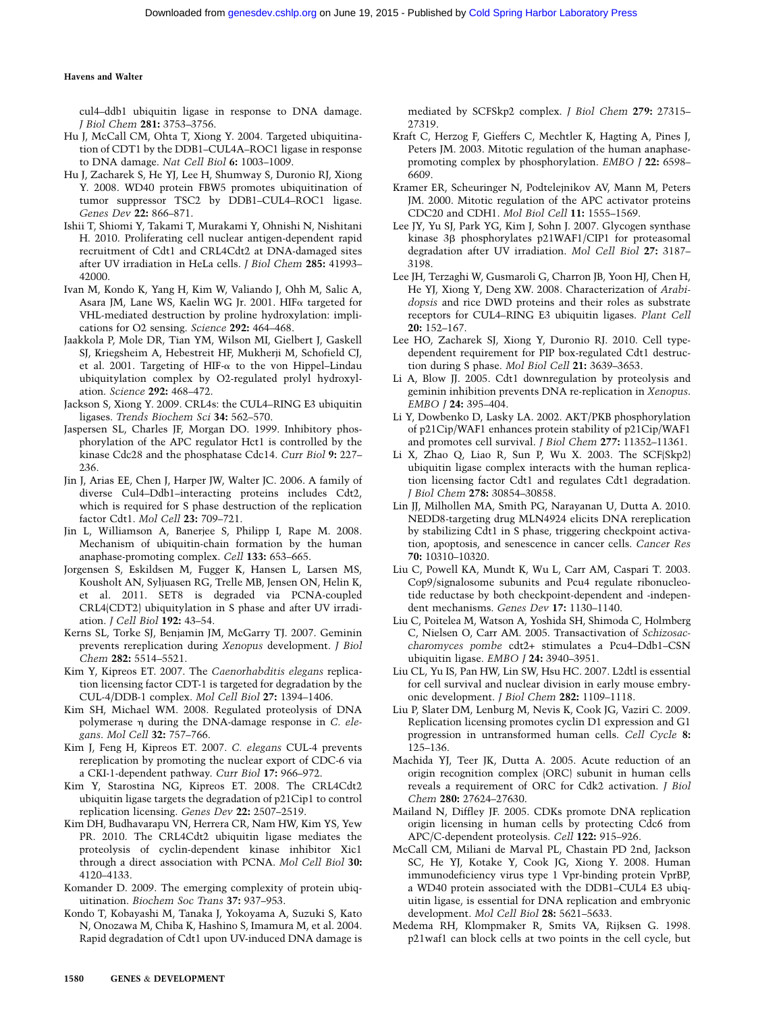cul4–ddb1 ubiquitin ligase in response to DNA damage. J Biol Chem 281: 3753–3756.

- Hu J, McCall CM, Ohta T, Xiong Y. 2004. Targeted ubiquitination of CDT1 by the DDB1–CUL4A–ROC1 ligase in response to DNA damage. Nat Cell Biol 6: 1003–1009.
- Hu J, Zacharek S, He YJ, Lee H, Shumway S, Duronio RJ, Xiong Y. 2008. WD40 protein FBW5 promotes ubiquitination of tumor suppressor TSC2 by DDB1–CUL4–ROC1 ligase. Genes Dev 22: 866–871.
- Ishii T, Shiomi Y, Takami T, Murakami Y, Ohnishi N, Nishitani H. 2010. Proliferating cell nuclear antigen-dependent rapid recruitment of Cdt1 and CRL4Cdt2 at DNA-damaged sites after UV irradiation in HeLa cells. J Biol Chem 285: 41993– 42000.
- Ivan M, Kondo K, Yang H, Kim W, Valiando J, Ohh M, Salic A, Asara JM, Lane WS, Kaelin WG Jr. 2001. HIFa targeted for VHL-mediated destruction by proline hydroxylation: implications for O2 sensing. Science 292: 464–468.
- Jaakkola P, Mole DR, Tian YM, Wilson MI, Gielbert J, Gaskell SJ, Kriegsheim A, Hebestreit HF, Mukherji M, Schofield CJ, et al. 2001. Targeting of HIF- $\alpha$  to the von Hippel–Lindau ubiquitylation complex by O2-regulated prolyl hydroxylation. Science 292: 468–472.
- Jackson S, Xiong Y. 2009. CRL4s: the CUL4–RING E3 ubiquitin ligases. Trends Biochem Sci 34: 562–570.
- Jaspersen SL, Charles JF, Morgan DO. 1999. Inhibitory phosphorylation of the APC regulator Hct1 is controlled by the kinase Cdc28 and the phosphatase Cdc14. Curr Biol 9: 227– 236.
- Jin J, Arias EE, Chen J, Harper JW, Walter JC. 2006. A family of diverse Cul4–Ddb1–interacting proteins includes Cdt2, which is required for S phase destruction of the replication factor Cdt1. Mol Cell 23: 709–721.
- Jin L, Williamson A, Banerjee S, Philipp I, Rape M. 2008. Mechanism of ubiquitin-chain formation by the human anaphase-promoting complex. Cell 133: 653–665.
- Jorgensen S, Eskildsen M, Fugger K, Hansen L, Larsen MS, Kousholt AN, Syljuasen RG, Trelle MB, Jensen ON, Helin K, et al. 2011. SET8 is degraded via PCNA-coupled CRL4(CDT2) ubiquitylation in S phase and after UV irradiation. J Cell Biol 192: 43–54.
- Kerns SL, Torke SJ, Benjamin JM, McGarry TJ. 2007. Geminin prevents rereplication during Xenopus development. J Biol Chem 282: 5514–5521.
- Kim Y, Kipreos ET. 2007. The Caenorhabditis elegans replication licensing factor CDT-1 is targeted for degradation by the CUL-4/DDB-1 complex. Mol Cell Biol 27: 1394–1406.
- Kim SH, Michael WM. 2008. Regulated proteolysis of DNA polymerase  $\eta$  during the DNA-damage response in C. elegans. Mol Cell 32: 757–766.
- Kim J, Feng H, Kipreos ET. 2007. C. elegans CUL-4 prevents rereplication by promoting the nuclear export of CDC-6 via a CKI-1-dependent pathway. Curr Biol 17: 966–972.
- Kim Y, Starostina NG, Kipreos ET. 2008. The CRL4Cdt2 ubiquitin ligase targets the degradation of p21Cip1 to control replication licensing. Genes Dev 22: 2507–2519.
- Kim DH, Budhavarapu VN, Herrera CR, Nam HW, Kim YS, Yew PR. 2010. The CRL4Cdt2 ubiquitin ligase mediates the proteolysis of cyclin-dependent kinase inhibitor Xic1 through a direct association with PCNA. Mol Cell Biol 30: 4120–4133.
- Komander D. 2009. The emerging complexity of protein ubiquitination. Biochem Soc Trans 37: 937–953.
- Kondo T, Kobayashi M, Tanaka J, Yokoyama A, Suzuki S, Kato N, Onozawa M, Chiba K, Hashino S, Imamura M, et al. 2004. Rapid degradation of Cdt1 upon UV-induced DNA damage is

mediated by SCFSkp2 complex. J Biol Chem 279: 27315– 27319.

- Kraft C, Herzog F, Gieffers C, Mechtler K, Hagting A, Pines J, Peters JM. 2003. Mitotic regulation of the human anaphasepromoting complex by phosphorylation. EMBO J 22: 6598– 6609.
- Kramer ER, Scheuringer N, Podtelejnikov AV, Mann M, Peters JM. 2000. Mitotic regulation of the APC activator proteins CDC20 and CDH1. Mol Biol Cell 11: 1555–1569.
- Lee JY, Yu SJ, Park YG, Kim J, Sohn J. 2007. Glycogen synthase kinase 3b phosphorylates p21WAF1/CIP1 for proteasomal degradation after UV irradiation. Mol Cell Biol 27: 3187– 3198.
- Lee JH, Terzaghi W, Gusmaroli G, Charron JB, Yoon HJ, Chen H, He YJ, Xiong Y, Deng XW. 2008. Characterization of Arabidopsis and rice DWD proteins and their roles as substrate receptors for CUL4–RING E3 ubiquitin ligases. Plant Cell 20: 152–167.
- Lee HO, Zacharek SJ, Xiong Y, Duronio RJ. 2010. Cell typedependent requirement for PIP box-regulated Cdt1 destruction during S phase. Mol Biol Cell 21: 3639–3653.
- Li A, Blow JJ. 2005. Cdt1 downregulation by proteolysis and geminin inhibition prevents DNA re-replication in Xenopus. EMBO J 24: 395–404.
- Li Y, Dowbenko D, Lasky LA. 2002. AKT/PKB phosphorylation of p21Cip/WAF1 enhances protein stability of p21Cip/WAF1 and promotes cell survival. J Biol Chem 277: 11352–11361.
- Li X, Zhao Q, Liao R, Sun P, Wu X. 2003. The SCF(Skp2) ubiquitin ligase complex interacts with the human replication licensing factor Cdt1 and regulates Cdt1 degradation. J Biol Chem 278: 30854–30858.
- Lin JJ, Milhollen MA, Smith PG, Narayanan U, Dutta A. 2010. NEDD8-targeting drug MLN4924 elicits DNA rereplication by stabilizing Cdt1 in S phase, triggering checkpoint activation, apoptosis, and senescence in cancer cells. Cancer Res 70: 10310–10320.
- Liu C, Powell KA, Mundt K, Wu L, Carr AM, Caspari T. 2003. Cop9/signalosome subunits and Pcu4 regulate ribonucleotide reductase by both checkpoint-dependent and -independent mechanisms. Genes Dev 17: 1130–1140.
- Liu C, Poitelea M, Watson A, Yoshida SH, Shimoda C, Holmberg C, Nielsen O, Carr AM. 2005. Transactivation of Schizosaccharomyces pombe cdt2+ stimulates a Pcu4–Ddb1–CSN ubiquitin ligase. EMBO J 24: 3940–3951.
- Liu CL, Yu IS, Pan HW, Lin SW, Hsu HC. 2007. L2dtl is essential for cell survival and nuclear division in early mouse embryonic development. J Biol Chem 282: 1109–1118.
- Liu P, Slater DM, Lenburg M, Nevis K, Cook JG, Vaziri C. 2009. Replication licensing promotes cyclin D1 expression and G1 progression in untransformed human cells. Cell Cycle 8: 125–136.
- Machida YJ, Teer JK, Dutta A. 2005. Acute reduction of an origin recognition complex (ORC) subunit in human cells reveals a requirement of ORC for Cdk2 activation. J Biol Chem 280: 27624–27630.
- Mailand N, Diffley JF. 2005. CDKs promote DNA replication origin licensing in human cells by protecting Cdc6 from APC/C-dependent proteolysis. Cell 122: 915–926.
- McCall CM, Miliani de Marval PL, Chastain PD 2nd, Jackson SC, He YJ, Kotake Y, Cook JG, Xiong Y. 2008. Human immunodeficiency virus type 1 Vpr-binding protein VprBP, a WD40 protein associated with the DDB1–CUL4 E3 ubiquitin ligase, is essential for DNA replication and embryonic development. Mol Cell Biol 28: 5621–5633.
- Medema RH, Klompmaker R, Smits VA, Rijksen G. 1998. p21waf1 can block cells at two points in the cell cycle, but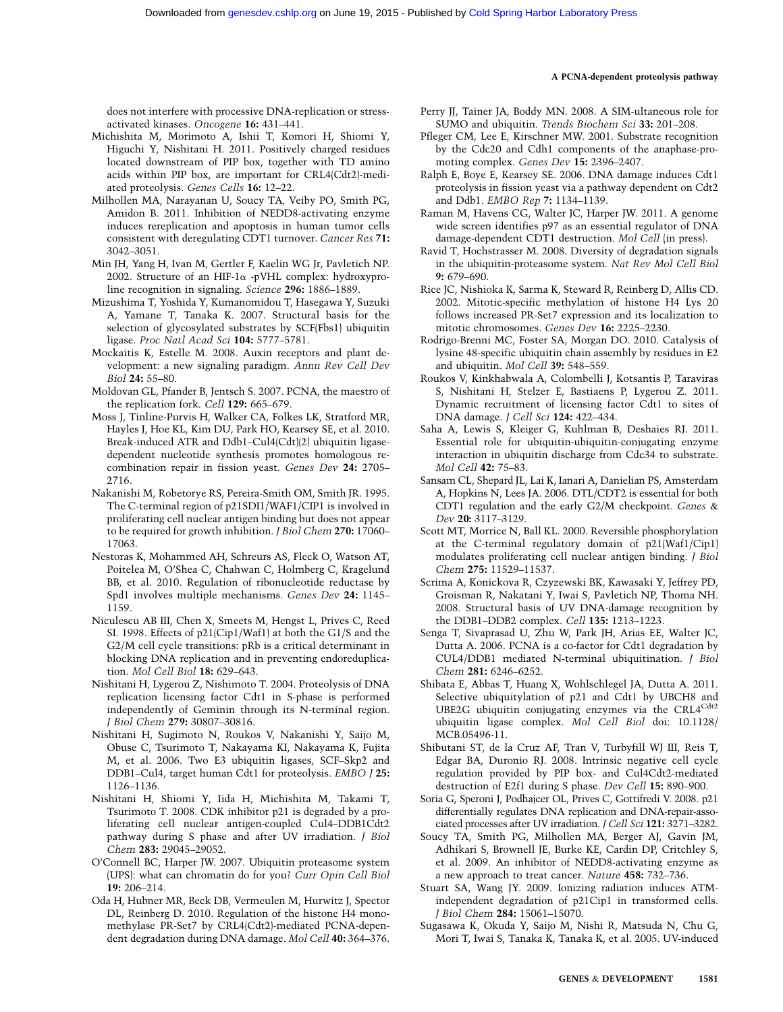does not interfere with processive DNA-replication or stressactivated kinases. Oncogene 16: 431–441.

- Michishita M, Morimoto A, Ishii T, Komori H, Shiomi Y, Higuchi Y, Nishitani H. 2011. Positively charged residues located downstream of PIP box, together with TD amino acids within PIP box, are important for CRL4(Cdt2)-mediated proteolysis. Genes Cells 16: 12–22.
- Milhollen MA, Narayanan U, Soucy TA, Veiby PO, Smith PG, Amidon B. 2011. Inhibition of NEDD8-activating enzyme induces rereplication and apoptosis in human tumor cells consistent with deregulating CDT1 turnover. Cancer Res 71: 3042–3051.
- Min JH, Yang H, Ivan M, Gertler F, Kaelin WG Jr, Pavletich NP. 2002. Structure of an HIF-1 $\alpha$  -pVHL complex: hydroxyproline recognition in signaling. Science 296: 1886–1889.
- Mizushima T, Yoshida Y, Kumanomidou T, Hasegawa Y, Suzuki A, Yamane T, Tanaka K. 2007. Structural basis for the selection of glycosylated substrates by SCF(Fbs1) ubiquitin ligase. Proc Natl Acad Sci 104: 5777–5781.
- Mockaitis K, Estelle M. 2008. Auxin receptors and plant development: a new signaling paradigm. Annu Rev Cell Dev Biol 24: 55–80.
- Moldovan GL, Pfander B, Jentsch S. 2007. PCNA, the maestro of the replication fork. Cell 129: 665–679.
- Moss J, Tinline-Purvis H, Walker CA, Folkes LK, Stratford MR, Hayles J, Hoe KL, Kim DU, Park HO, Kearsey SE, et al. 2010. Break-induced ATR and Ddb1–Cul4(Cdt)(2) ubiquitin ligasedependent nucleotide synthesis promotes homologous recombination repair in fission yeast. Genes Dev 24: 2705– 2716.
- Nakanishi M, Robetorye RS, Pereira-Smith OM, Smith JR. 1995. The C-terminal region of p21SDI1/WAF1/CIP1 is involved in proliferating cell nuclear antigen binding but does not appear to be required for growth inhibition. *J Biol Chem* 270: 17060– 17063.
- Nestoras K, Mohammed AH, Schreurs AS, Fleck O, Watson AT, Poitelea M, O'Shea C, Chahwan C, Holmberg C, Kragelund BB, et al. 2010. Regulation of ribonucleotide reductase by Spd1 involves multiple mechanisms. Genes Dev 24: 1145– 1159.
- Niculescu AB III, Chen X, Smeets M, Hengst L, Prives C, Reed SI. 1998. Effects of p21(Cip1/Waf1) at both the G1/S and the G2/M cell cycle transitions: pRb is a critical determinant in blocking DNA replication and in preventing endoreduplication. Mol Cell Biol 18: 629–643.
- Nishitani H, Lygerou Z, Nishimoto T. 2004. Proteolysis of DNA replication licensing factor Cdt1 in S-phase is performed independently of Geminin through its N-terminal region. J Biol Chem 279: 30807–30816.
- Nishitani H, Sugimoto N, Roukos V, Nakanishi Y, Saijo M, Obuse C, Tsurimoto T, Nakayama KI, Nakayama K, Fujita M, et al. 2006. Two E3 ubiquitin ligases, SCF–Skp2 and DDB1–Cul4, target human Cdt1 for proteolysis. EMBO J 25: 1126–1136.
- Nishitani H, Shiomi Y, Iida H, Michishita M, Takami T, Tsurimoto T. 2008. CDK inhibitor p21 is degraded by a proliferating cell nuclear antigen-coupled Cul4–DDB1Cdt2 pathway during S phase and after UV irradiation. J Biol Chem 283: 29045–29052.
- O'Connell BC, Harper JW. 2007. Ubiquitin proteasome system (UPS): what can chromatin do for you? Curr Opin Cell Biol 19: 206–214.
- Oda H, Hubner MR, Beck DB, Vermeulen M, Hurwitz J, Spector DL, Reinberg D. 2010. Regulation of the histone H4 monomethylase PR-Set7 by CRL4(Cdt2)-mediated PCNA-dependent degradation during DNA damage. Mol Cell 40: 364–376.
- Perry JJ, Tainer JA, Boddy MN. 2008. A SIM-ultaneous role for SUMO and ubiquitin. Trends Biochem Sci 33: 201–208.
- Pfleger CM, Lee E, Kirschner MW. 2001. Substrate recognition by the Cdc20 and Cdh1 components of the anaphase-promoting complex. Genes Dev 15: 2396–2407.
- Ralph E, Boye E, Kearsey SE. 2006. DNA damage induces Cdt1 proteolysis in fission yeast via a pathway dependent on Cdt2 and Ddb1. EMBO Rep 7: 1134–1139.
- Raman M, Havens CG, Walter JC, Harper JW. 2011. A genome wide screen identifies p97 as an essential regulator of DNA damage-dependent CDT1 destruction. Mol Cell (in press).
- Ravid T, Hochstrasser M. 2008. Diversity of degradation signals in the ubiquitin-proteasome system. Nat Rev Mol Cell Biol 9: 679–690.
- Rice JC, Nishioka K, Sarma K, Steward R, Reinberg D, Allis CD. 2002. Mitotic-specific methylation of histone H4 Lys 20 follows increased PR-Set7 expression and its localization to mitotic chromosomes. Genes Dev 16: 2225–2230.
- Rodrigo-Brenni MC, Foster SA, Morgan DO. 2010. Catalysis of lysine 48-specific ubiquitin chain assembly by residues in E2 and ubiquitin. Mol Cell 39: 548–559.
- Roukos V, Kinkhabwala A, Colombelli J, Kotsantis P, Taraviras S, Nishitani H, Stelzer E, Bastiaens P, Lygerou Z. 2011. Dynamic recruitment of licensing factor Cdt1 to sites of DNA damage. J Cell Sci 124: 422–434.
- Saha A, Lewis S, Kleiger G, Kuhlman B, Deshaies RJ. 2011. Essential role for ubiquitin-ubiquitin-conjugating enzyme interaction in ubiquitin discharge from Cdc34 to substrate. Mol Cell 42: 75–83.
- Sansam CL, Shepard JL, Lai K, Ianari A, Danielian PS, Amsterdam A, Hopkins N, Lees JA. 2006. DTL/CDT2 is essential for both CDT1 regulation and the early G2/M checkpoint. Genes & Dev 20: 3117-3129.
- Scott MT, Morrice N, Ball KL. 2000. Reversible phosphorylation at the C-terminal regulatory domain of p21(Waf1/Cip1) modulates proliferating cell nuclear antigen binding. J Biol Chem 275: 11529–11537.
- Scrima A, Konickova R, Czyzewski BK, Kawasaki Y, Jeffrey PD, Groisman R, Nakatani Y, Iwai S, Pavletich NP, Thoma NH. 2008. Structural basis of UV DNA-damage recognition by the DDB1–DDB2 complex. Cell 135: 1213–1223.
- Senga T, Sivaprasad U, Zhu W, Park JH, Arias EE, Walter JC, Dutta A. 2006. PCNA is a co-factor for Cdt1 degradation by CUL4/DDB1 mediated N-terminal ubiquitination. J Biol Chem 281: 6246–6252.
- Shibata E, Abbas T, Huang X, Wohlschlegel JA, Dutta A. 2011. Selective ubiquitylation of p21 and Cdt1 by UBCH8 and UBE2G ubiquitin conjugating enzymes via the CRL4<sup>Cdt2</sup> ubiquitin ligase complex. Mol Cell Biol doi: 10.1128/ MCB.05496-11.
- Shibutani ST, de la Cruz AF, Tran V, Turbyfill WJ III, Reis T, Edgar BA, Duronio RJ. 2008. Intrinsic negative cell cycle regulation provided by PIP box- and Cul4Cdt2-mediated destruction of E2f1 during S phase. Dev Cell 15: 890–900.
- Soria G, Speroni J, Podhajcer OL, Prives C, Gottifredi V. 2008. p21 differentially regulates DNA replication and DNA-repair-associated processes after UV irradiation. J Cell Sci 121: 3271–3282.
- Soucy TA, Smith PG, Milhollen MA, Berger AJ, Gavin JM, Adhikari S, Brownell JE, Burke KE, Cardin DP, Critchley S, et al. 2009. An inhibitor of NEDD8-activating enzyme as a new approach to treat cancer. Nature 458: 732–736.
- Stuart SA, Wang JY. 2009. Ionizing radiation induces ATMindependent degradation of p21Cip1 in transformed cells. J Biol Chem 284: 15061–15070.
- Sugasawa K, Okuda Y, Saijo M, Nishi R, Matsuda N, Chu G, Mori T, Iwai S, Tanaka K, Tanaka K, et al. 2005. UV-induced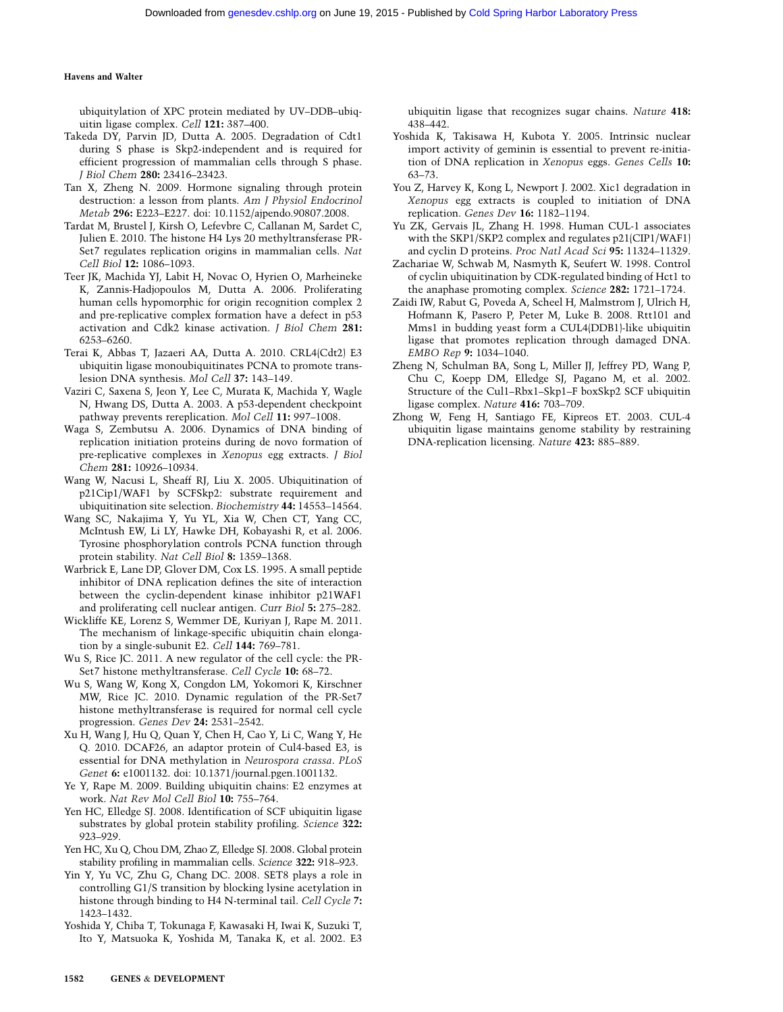ubiquitylation of XPC protein mediated by UV–DDB–ubiquitin ligase complex. Cell 121: 387–400.

- Takeda DY, Parvin JD, Dutta A. 2005. Degradation of Cdt1 during S phase is Skp2-independent and is required for efficient progression of mammalian cells through S phase. J Biol Chem 280: 23416–23423.
- Tan X, Zheng N. 2009. Hormone signaling through protein destruction: a lesson from plants. Am J Physiol Endocrinol Metab 296: E223–E227. doi: 10.1152/ajpendo.90807.2008.
- Tardat M, Brustel J, Kirsh O, Lefevbre C, Callanan M, Sardet C, Julien E. 2010. The histone H4 Lys 20 methyltransferase PR-Set7 regulates replication origins in mammalian cells. Nat Cell Biol 12: 1086–1093.
- Teer JK, Machida YJ, Labit H, Novac O, Hyrien O, Marheineke K, Zannis-Hadjopoulos M, Dutta A. 2006. Proliferating human cells hypomorphic for origin recognition complex 2 and pre-replicative complex formation have a defect in p53 activation and Cdk2 kinase activation. J Biol Chem 281: 6253–6260.
- Terai K, Abbas T, Jazaeri AA, Dutta A. 2010. CRL4(Cdt2) E3 ubiquitin ligase monoubiquitinates PCNA to promote translesion DNA synthesis. Mol Cell 37: 143–149.
- Vaziri C, Saxena S, Jeon Y, Lee C, Murata K, Machida Y, Wagle N, Hwang DS, Dutta A. 2003. A p53-dependent checkpoint pathway prevents rereplication. Mol Cell 11: 997–1008.
- Waga S, Zembutsu A. 2006. Dynamics of DNA binding of replication initiation proteins during de novo formation of pre-replicative complexes in Xenopus egg extracts. J Biol Chem 281: 10926–10934.
- Wang W, Nacusi L, Sheaff RJ, Liu X. 2005. Ubiquitination of p21Cip1/WAF1 by SCFSkp2: substrate requirement and ubiquitination site selection. Biochemistry 44: 14553–14564.
- Wang SC, Nakajima Y, Yu YL, Xia W, Chen CT, Yang CC, McIntush EW, Li LY, Hawke DH, Kobayashi R, et al. 2006. Tyrosine phosphorylation controls PCNA function through protein stability. Nat Cell Biol 8: 1359–1368.
- Warbrick E, Lane DP, Glover DM, Cox LS. 1995. A small peptide inhibitor of DNA replication defines the site of interaction between the cyclin-dependent kinase inhibitor p21WAF1 and proliferating cell nuclear antigen. Curr Biol 5: 275–282.
- Wickliffe KE, Lorenz S, Wemmer DE, Kuriyan J, Rape M. 2011. The mechanism of linkage-specific ubiquitin chain elongation by a single-subunit E2. Cell 144: 769–781.
- Wu S, Rice JC. 2011. A new regulator of the cell cycle: the PR-Set7 histone methyltransferase. Cell Cycle 10: 68–72.
- Wu S, Wang W, Kong X, Congdon LM, Yokomori K, Kirschner MW, Rice JC. 2010. Dynamic regulation of the PR-Set7 histone methyltransferase is required for normal cell cycle progression. Genes Dev 24: 2531–2542.
- Xu H, Wang J, Hu Q, Quan Y, Chen H, Cao Y, Li C, Wang Y, He Q. 2010. DCAF26, an adaptor protein of Cul4-based E3, is essential for DNA methylation in Neurospora crassa. PLoS Genet 6: e1001132. doi: 10.1371/journal.pgen.1001132.
- Ye Y, Rape M. 2009. Building ubiquitin chains: E2 enzymes at work. Nat Rev Mol Cell Biol 10: 755–764.
- Yen HC, Elledge SJ. 2008. Identification of SCF ubiquitin ligase substrates by global protein stability profiling. Science 322: 923–929.
- Yen HC, Xu Q, Chou DM, Zhao Z, Elledge SJ. 2008. Global protein stability profiling in mammalian cells. Science 322: 918–923.
- Yin Y, Yu VC, Zhu G, Chang DC. 2008. SET8 plays a role in controlling G1/S transition by blocking lysine acetylation in histone through binding to H4 N-terminal tail. Cell Cycle 7: 1423–1432.
- Yoshida Y, Chiba T, Tokunaga F, Kawasaki H, Iwai K, Suzuki T, Ito Y, Matsuoka K, Yoshida M, Tanaka K, et al. 2002. E3

ubiquitin ligase that recognizes sugar chains. Nature 418: 438–442.

- Yoshida K, Takisawa H, Kubota Y. 2005. Intrinsic nuclear import activity of geminin is essential to prevent re-initiation of DNA replication in Xenopus eggs. Genes Cells 10: 63–73.
- You Z, Harvey K, Kong L, Newport J. 2002. Xic1 degradation in Xenopus egg extracts is coupled to initiation of DNA replication. Genes Dev 16: 1182–1194.
- Yu ZK, Gervais JL, Zhang H. 1998. Human CUL-1 associates with the SKP1/SKP2 complex and regulates p21(CIP1/WAF1) and cyclin D proteins. Proc Natl Acad Sci 95: 11324–11329.
- Zachariae W, Schwab M, Nasmyth K, Seufert W. 1998. Control of cyclin ubiquitination by CDK-regulated binding of Hct1 to the anaphase promoting complex. Science 282: 1721–1724.
- Zaidi IW, Rabut G, Poveda A, Scheel H, Malmstrom J, Ulrich H, Hofmann K, Pasero P, Peter M, Luke B. 2008. Rtt101 and Mms1 in budding yeast form a CUL4(DDB1)-like ubiquitin ligase that promotes replication through damaged DNA. EMBO Rep 9: 1034–1040.
- Zheng N, Schulman BA, Song L, Miller JJ, Jeffrey PD, Wang P, Chu C, Koepp DM, Elledge SJ, Pagano M, et al. 2002. Structure of the Cul1–Rbx1–Skp1–F boxSkp2 SCF ubiquitin ligase complex. Nature 416: 703–709.
- Zhong W, Feng H, Santiago FE, Kipreos ET. 2003. CUL-4 ubiquitin ligase maintains genome stability by restraining DNA-replication licensing. Nature 423: 885–889.